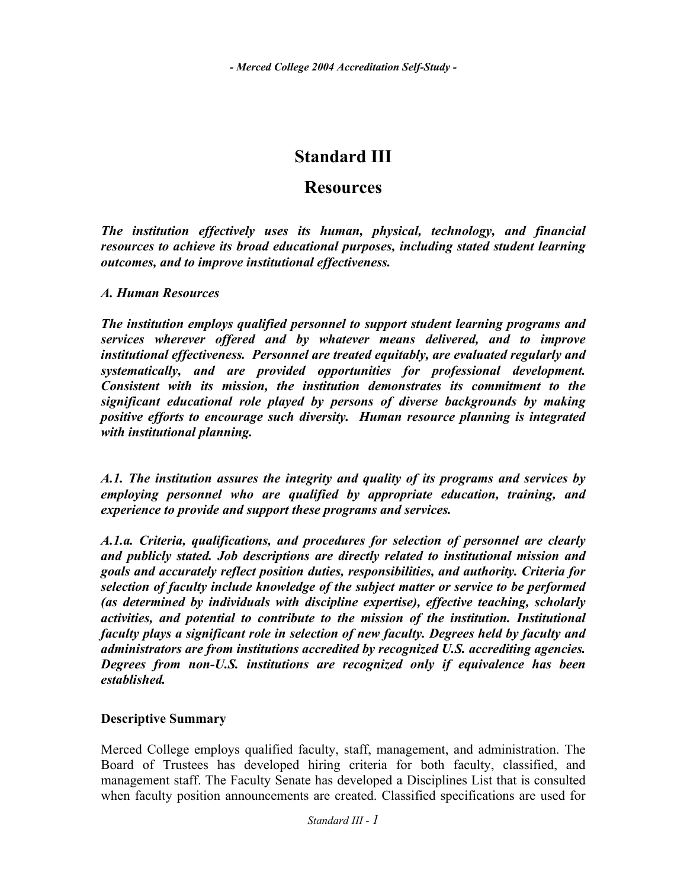# **Standard III**

# **Resources**

*The institution effectively uses its human, physical, technology, and financial resources to achieve its broad educational purposes, including stated student learning outcomes, and to improve institutional effectiveness.* 

# *A. Human Resources*

*The institution employs qualified personnel to support student learning programs and services wherever offered and by whatever means delivered, and to improve institutional effectiveness. Personnel are treated equitably, are evaluated regularly and systematically, and are provided opportunities for professional development. Consistent with its mission, the institution demonstrates its commitment to the significant educational role played by persons of diverse backgrounds by making positive efforts to encourage such diversity. Human resource planning is integrated with institutional planning.* 

*A.1. The institution assures the integrity and quality of its programs and services by employing personnel who are qualified by appropriate education, training, and experience to provide and support these programs and services.* 

*A.1.a. Criteria, qualifications, and procedures for selection of personnel are clearly and publicly stated. Job descriptions are directly related to institutional mission and goals and accurately reflect position duties, responsibilities, and authority. Criteria for selection of faculty include knowledge of the subject matter or service to be performed (as determined by individuals with discipline expertise), effective teaching, scholarly activities, and potential to contribute to the mission of the institution. Institutional faculty plays a significant role in selection of new faculty. Degrees held by faculty and administrators are from institutions accredited by recognized U.S. accrediting agencies. Degrees from non-U.S. institutions are recognized only if equivalence has been established.* 

# **Descriptive Summary**

Merced College employs qualified faculty, staff, management, and administration. The Board of Trustees has developed hiring criteria for both faculty, classified, and management staff. The Faculty Senate has developed a Disciplines List that is consulted when faculty position announcements are created. Classified specifications are used for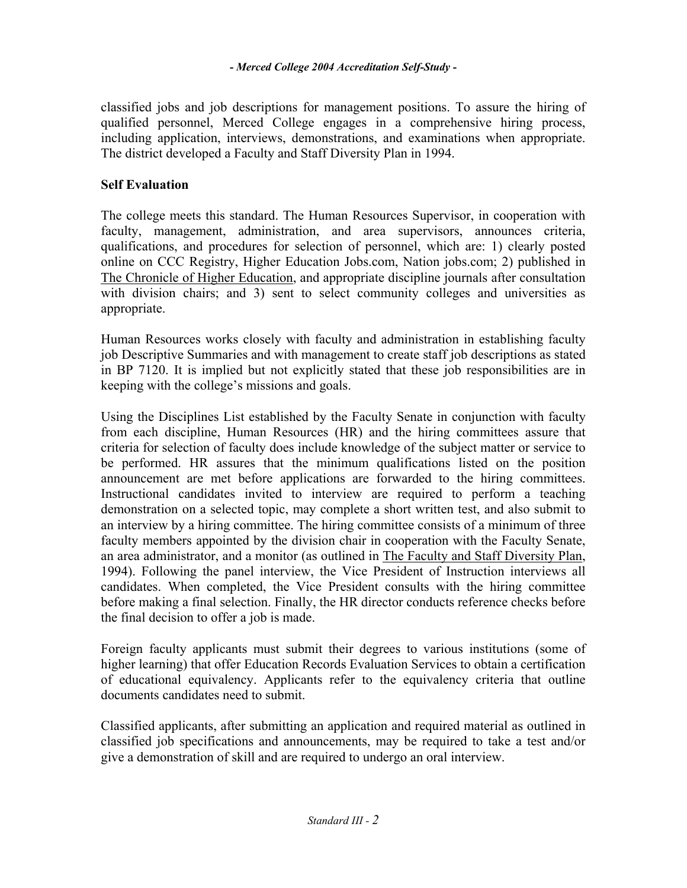classified jobs and job descriptions for management positions. To assure the hiring of qualified personnel, Merced College engages in a comprehensive hiring process, including application, interviews, demonstrations, and examinations when appropriate. The district developed a Faculty and Staff Diversity Plan in 1994.

# **Self Evaluation**

The college meets this standard. The Human Resources Supervisor, in cooperation with faculty, management, administration, and area supervisors, announces criteria, qualifications, and procedures for selection of personnel, which are: 1) clearly posted online on CCC Registry, Higher Education Jobs.com, Nation jobs.com; 2) published in The Chronicle of Higher Education, and appropriate discipline journals after consultation with division chairs; and 3) sent to select community colleges and universities as appropriate.

Human Resources works closely with faculty and administration in establishing faculty job Descriptive Summaries and with management to create staff job descriptions as stated in BP 7120. It is implied but not explicitly stated that these job responsibilities are in keeping with the college's missions and goals.

Using the Disciplines List established by the Faculty Senate in conjunction with faculty from each discipline, Human Resources (HR) and the hiring committees assure that criteria for selection of faculty does include knowledge of the subject matter or service to be performed. HR assures that the minimum qualifications listed on the position announcement are met before applications are forwarded to the hiring committees. Instructional candidates invited to interview are required to perform a teaching demonstration on a selected topic, may complete a short written test, and also submit to an interview by a hiring committee. The hiring committee consists of a minimum of three faculty members appointed by the division chair in cooperation with the Faculty Senate, an area administrator, and a monitor (as outlined in The Faculty and Staff Diversity Plan, 1994). Following the panel interview, the Vice President of Instruction interviews all candidates. When completed, the Vice President consults with the hiring committee before making a final selection. Finally, the HR director conducts reference checks before the final decision to offer a job is made.

Foreign faculty applicants must submit their degrees to various institutions (some of higher learning) that offer Education Records Evaluation Services to obtain a certification of educational equivalency. Applicants refer to the equivalency criteria that outline documents candidates need to submit.

Classified applicants, after submitting an application and required material as outlined in classified job specifications and announcements, may be required to take a test and/or give a demonstration of skill and are required to undergo an oral interview.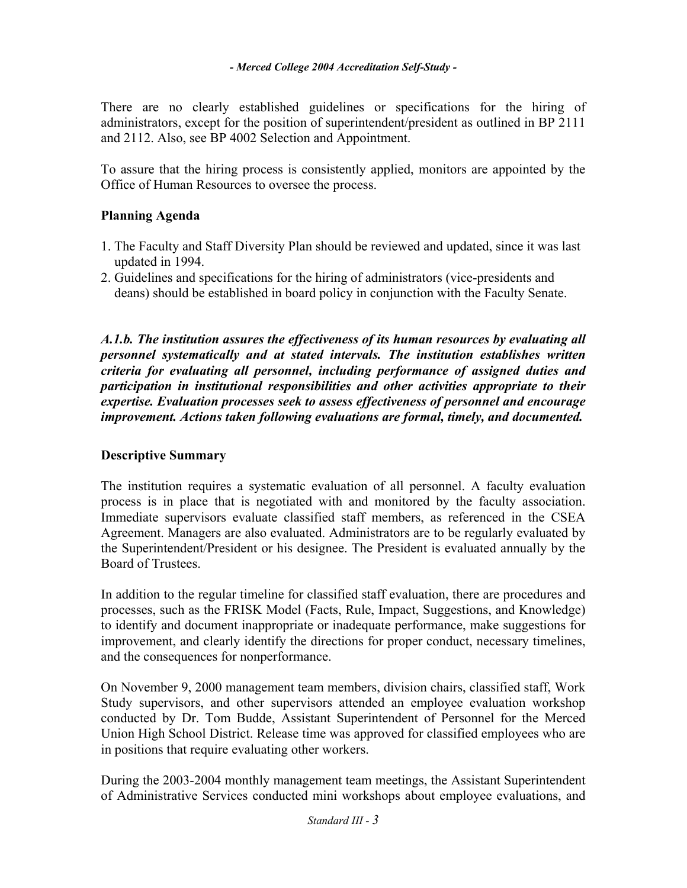There are no clearly established guidelines or specifications for the hiring of administrators, except for the position of superintendent/president as outlined in BP 2111 and 2112. Also, see BP 4002 Selection and Appointment.

To assure that the hiring process is consistently applied, monitors are appointed by the Office of Human Resources to oversee the process.

# **Planning Agenda**

- 1. The Faculty and Staff Diversity Plan should be reviewed and updated, since it was last updated in 1994.
- 2. Guidelines and specifications for the hiring of administrators (vice-presidents and deans) should be established in board policy in conjunction with the Faculty Senate.

*A.1.b. The institution assures the effectiveness of its human resources by evaluating all personnel systematically and at stated intervals. The institution establishes written criteria for evaluating all personnel, including performance of assigned duties and participation in institutional responsibilities and other activities appropriate to their expertise. Evaluation processes seek to assess effectiveness of personnel and encourage improvement. Actions taken following evaluations are formal, timely, and documented.* 

# **Descriptive Summary**

The institution requires a systematic evaluation of all personnel. A faculty evaluation process is in place that is negotiated with and monitored by the faculty association. Immediate supervisors evaluate classified staff members, as referenced in the CSEA Agreement. Managers are also evaluated. Administrators are to be regularly evaluated by the Superintendent/President or his designee. The President is evaluated annually by the Board of Trustees.

In addition to the regular timeline for classified staff evaluation, there are procedures and processes, such as the FRISK Model (Facts, Rule, Impact, Suggestions, and Knowledge) to identify and document inappropriate or inadequate performance, make suggestions for improvement, and clearly identify the directions for proper conduct, necessary timelines, and the consequences for nonperformance.

On November 9, 2000 management team members, division chairs, classified staff, Work Study supervisors, and other supervisors attended an employee evaluation workshop conducted by Dr. Tom Budde, Assistant Superintendent of Personnel for the Merced Union High School District. Release time was approved for classified employees who are in positions that require evaluating other workers.

During the 2003-2004 monthly management team meetings, the Assistant Superintendent of Administrative Services conducted mini workshops about employee evaluations, and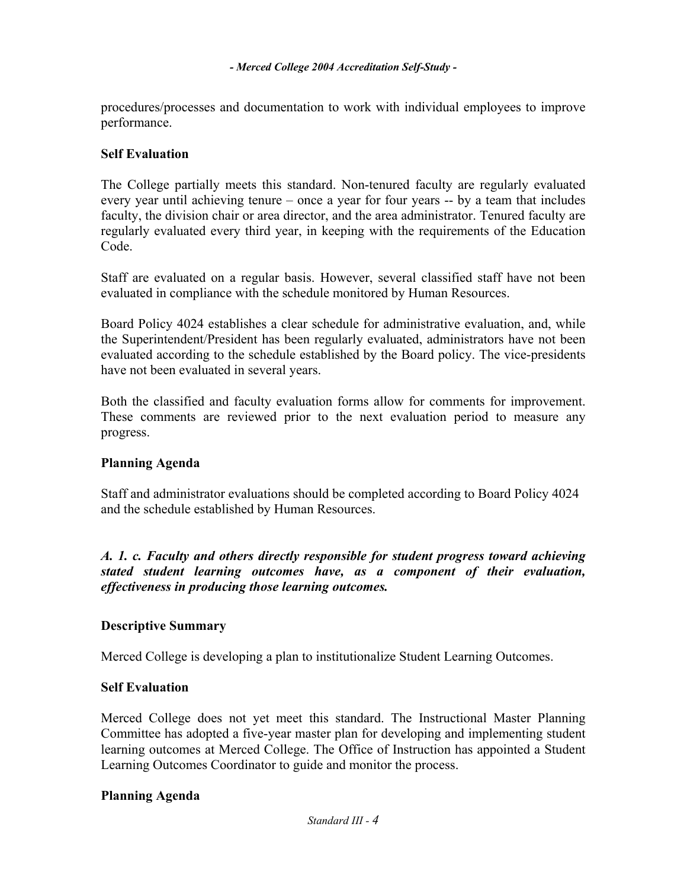procedures/processes and documentation to work with individual employees to improve performance.

### **Self Evaluation**

The College partially meets this standard. Non-tenured faculty are regularly evaluated every year until achieving tenure – once a year for four years -- by a team that includes faculty, the division chair or area director, and the area administrator. Tenured faculty are regularly evaluated every third year, in keeping with the requirements of the Education Code.

Staff are evaluated on a regular basis. However, several classified staff have not been evaluated in compliance with the schedule monitored by Human Resources.

Board Policy 4024 establishes a clear schedule for administrative evaluation, and, while the Superintendent/President has been regularly evaluated, administrators have not been evaluated according to the schedule established by the Board policy. The vice-presidents have not been evaluated in several years.

Both the classified and faculty evaluation forms allow for comments for improvement. These comments are reviewed prior to the next evaluation period to measure any progress.

# **Planning Agenda**

Staff and administrator evaluations should be completed according to Board Policy 4024 and the schedule established by Human Resources.

*A. 1. c. Faculty and others directly responsible for student progress toward achieving stated student learning outcomes have, as a component of their evaluation, effectiveness in producing those learning outcomes.* 

# **Descriptive Summary**

Merced College is developing a plan to institutionalize Student Learning Outcomes.

#### **Self Evaluation**

Merced College does not yet meet this standard. The Instructional Master Planning Committee has adopted a five-year master plan for developing and implementing student learning outcomes at Merced College. The Office of Instruction has appointed a Student Learning Outcomes Coordinator to guide and monitor the process.

#### **Planning Agenda**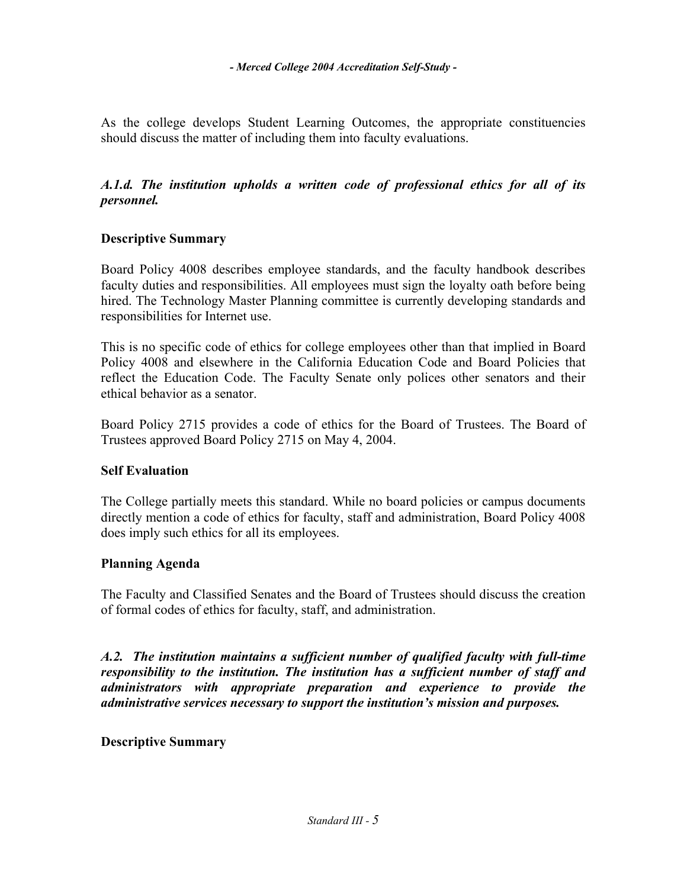As the college develops Student Learning Outcomes, the appropriate constituencies should discuss the matter of including them into faculty evaluations.

# *A.1.d. The institution upholds a written code of professional ethics for all of its personnel.*

# **Descriptive Summary**

Board Policy 4008 describes employee standards, and the faculty handbook describes faculty duties and responsibilities. All employees must sign the loyalty oath before being hired. The Technology Master Planning committee is currently developing standards and responsibilities for Internet use.

This is no specific code of ethics for college employees other than that implied in Board Policy 4008 and elsewhere in the California Education Code and Board Policies that reflect the Education Code. The Faculty Senate only polices other senators and their ethical behavior as a senator.

Board Policy 2715 provides a code of ethics for the Board of Trustees. The Board of Trustees approved Board Policy 2715 on May 4, 2004.

# **Self Evaluation**

The College partially meets this standard. While no board policies or campus documents directly mention a code of ethics for faculty, staff and administration, Board Policy 4008 does imply such ethics for all its employees.

# **Planning Agenda**

The Faculty and Classified Senates and the Board of Trustees should discuss the creation of formal codes of ethics for faculty, staff, and administration.

*A.2. The institution maintains a sufficient number of qualified faculty with full-time responsibility to the institution. The institution has a sufficient number of staff and administrators with appropriate preparation and experience to provide the administrative services necessary to support the institution's mission and purposes.* 

# **Descriptive Summary**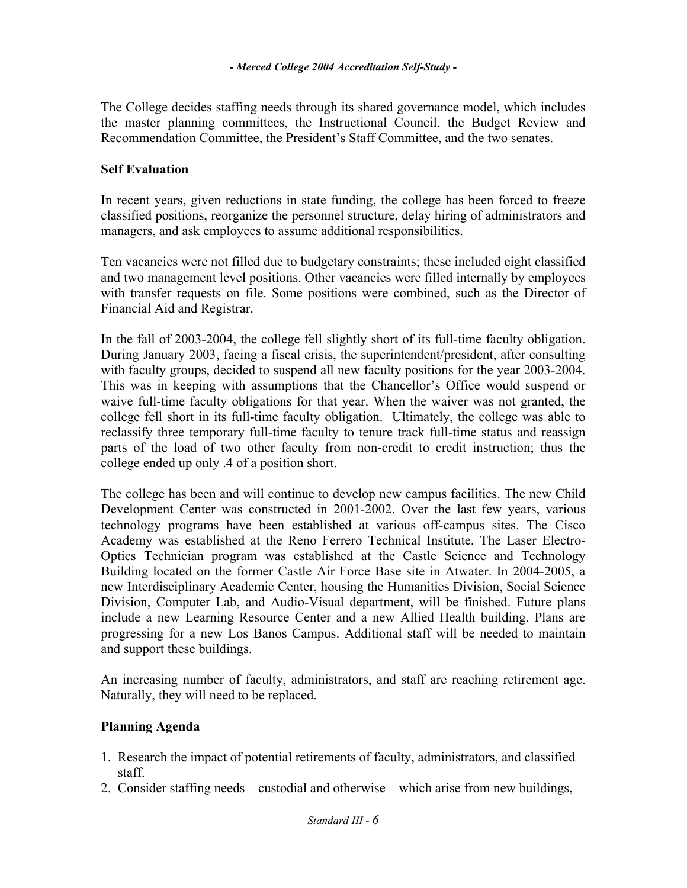The College decides staffing needs through its shared governance model, which includes the master planning committees, the Instructional Council, the Budget Review and Recommendation Committee, the President's Staff Committee, and the two senates.

# **Self Evaluation**

In recent years, given reductions in state funding, the college has been forced to freeze classified positions, reorganize the personnel structure, delay hiring of administrators and managers, and ask employees to assume additional responsibilities.

Ten vacancies were not filled due to budgetary constraints; these included eight classified and two management level positions. Other vacancies were filled internally by employees with transfer requests on file. Some positions were combined, such as the Director of Financial Aid and Registrar.

In the fall of 2003-2004, the college fell slightly short of its full-time faculty obligation. During January 2003, facing a fiscal crisis, the superintendent/president, after consulting with faculty groups, decided to suspend all new faculty positions for the year 2003-2004. This was in keeping with assumptions that the Chancellor's Office would suspend or waive full-time faculty obligations for that year. When the waiver was not granted, the college fell short in its full-time faculty obligation. Ultimately, the college was able to reclassify three temporary full-time faculty to tenure track full-time status and reassign parts of the load of two other faculty from non-credit to credit instruction; thus the college ended up only .4 of a position short.

The college has been and will continue to develop new campus facilities. The new Child Development Center was constructed in 2001-2002. Over the last few years, various technology programs have been established at various off-campus sites. The Cisco Academy was established at the Reno Ferrero Technical Institute. The Laser Electro-Optics Technician program was established at the Castle Science and Technology Building located on the former Castle Air Force Base site in Atwater. In 2004-2005, a new Interdisciplinary Academic Center, housing the Humanities Division, Social Science Division, Computer Lab, and Audio-Visual department, will be finished. Future plans include a new Learning Resource Center and a new Allied Health building. Plans are progressing for a new Los Banos Campus. Additional staff will be needed to maintain and support these buildings.

An increasing number of faculty, administrators, and staff are reaching retirement age. Naturally, they will need to be replaced.

# **Planning Agenda**

- 1. Research the impact of potential retirements of faculty, administrators, and classified staff.
- 2. Consider staffing needs custodial and otherwise which arise from new buildings,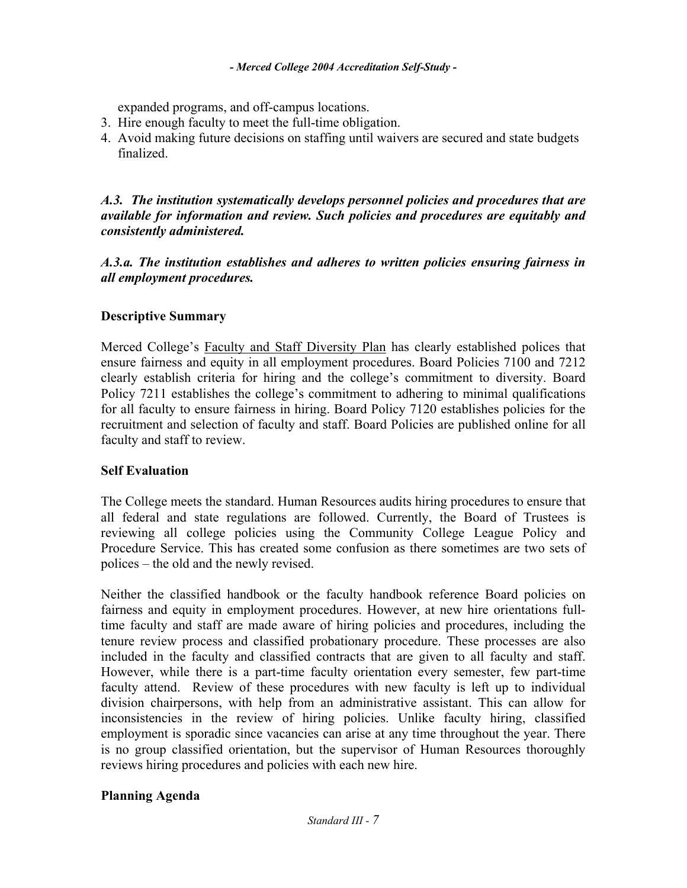expanded programs, and off-campus locations.

- 3. Hire enough faculty to meet the full-time obligation.
- 4. Avoid making future decisions on staffing until waivers are secured and state budgets finalized.

*A.3. The institution systematically develops personnel policies and procedures that are available for information and review. Such policies and procedures are equitably and consistently administered.* 

*A.3.a. The institution establishes and adheres to written policies ensuring fairness in all employment procedures.* 

# **Descriptive Summary**

Merced College's Faculty and Staff Diversity Plan has clearly established polices that ensure fairness and equity in all employment procedures. Board Policies 7100 and 7212 clearly establish criteria for hiring and the college's commitment to diversity. Board Policy 7211 establishes the college's commitment to adhering to minimal qualifications for all faculty to ensure fairness in hiring. Board Policy 7120 establishes policies for the recruitment and selection of faculty and staff. Board Policies are published online for all faculty and staff to review.

# **Self Evaluation**

The College meets the standard. Human Resources audits hiring procedures to ensure that all federal and state regulations are followed. Currently, the Board of Trustees is reviewing all college policies using the Community College League Policy and Procedure Service. This has created some confusion as there sometimes are two sets of polices – the old and the newly revised.

Neither the classified handbook or the faculty handbook reference Board policies on fairness and equity in employment procedures. However, at new hire orientations fulltime faculty and staff are made aware of hiring policies and procedures, including the tenure review process and classified probationary procedure. These processes are also included in the faculty and classified contracts that are given to all faculty and staff. However, while there is a part-time faculty orientation every semester, few part-time faculty attend. Review of these procedures with new faculty is left up to individual division chairpersons, with help from an administrative assistant. This can allow for inconsistencies in the review of hiring policies. Unlike faculty hiring, classified employment is sporadic since vacancies can arise at any time throughout the year. There is no group classified orientation, but the supervisor of Human Resources thoroughly reviews hiring procedures and policies with each new hire.

# **Planning Agenda**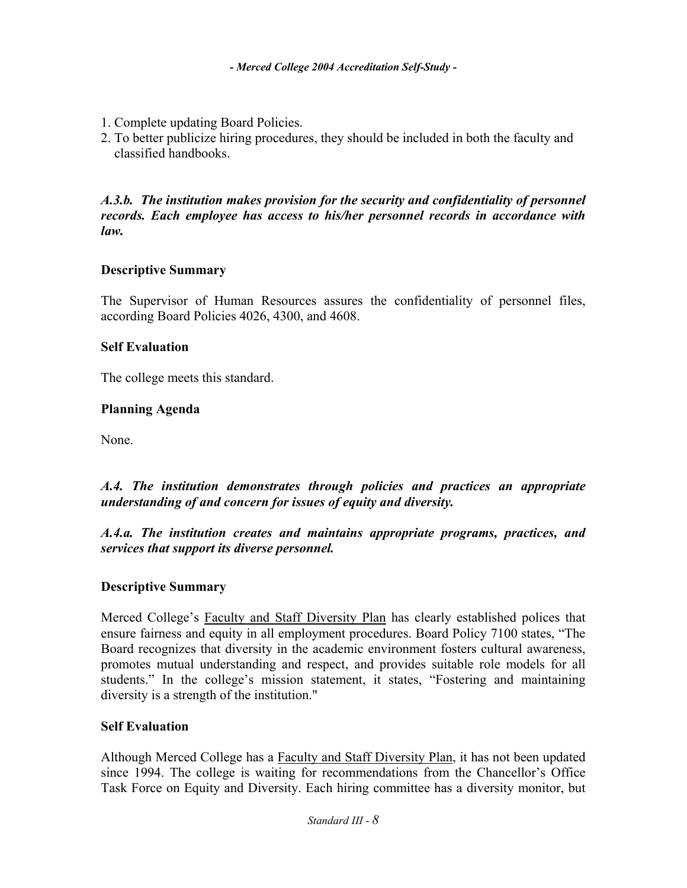- 1. Complete updating Board Policies.
- 2. To better publicize hiring procedures, they should be included in both the faculty and classified handbooks.

*A.3.b. The institution makes provision for the security and confidentiality of personnel records. Each employee has access to his/her personnel records in accordance with law.* 

### **Descriptive Summary**

The Supervisor of Human Resources assures the confidentiality of personnel files, according Board Policies 4026, 4300, and 4608.

### **Self Evaluation**

The college meets this standard.

### **Planning Agenda**

None.

*A.4. The institution demonstrates through policies and practices an appropriate understanding of and concern for issues of equity and diversity.* 

*A.4.a. The institution creates and maintains appropriate programs, practices, and services that support its diverse personnel.*

# **Descriptive Summary**

Merced College's Faculty and Staff Diversity Plan has clearly established polices that ensure fairness and equity in all employment procedures. Board Policy 7100 states, "The Board recognizes that diversity in the academic environment fosters cultural awareness, promotes mutual understanding and respect, and provides suitable role models for all students." In the college's mission statement, it states, "Fostering and maintaining diversity is a strength of the institution."

#### **Self Evaluation**

Although Merced College has a Faculty and Staff Diversity Plan, it has not been updated since 1994. The college is waiting for recommendations from the Chancellor's Office Task Force on Equity and Diversity. Each hiring committee has a diversity monitor, but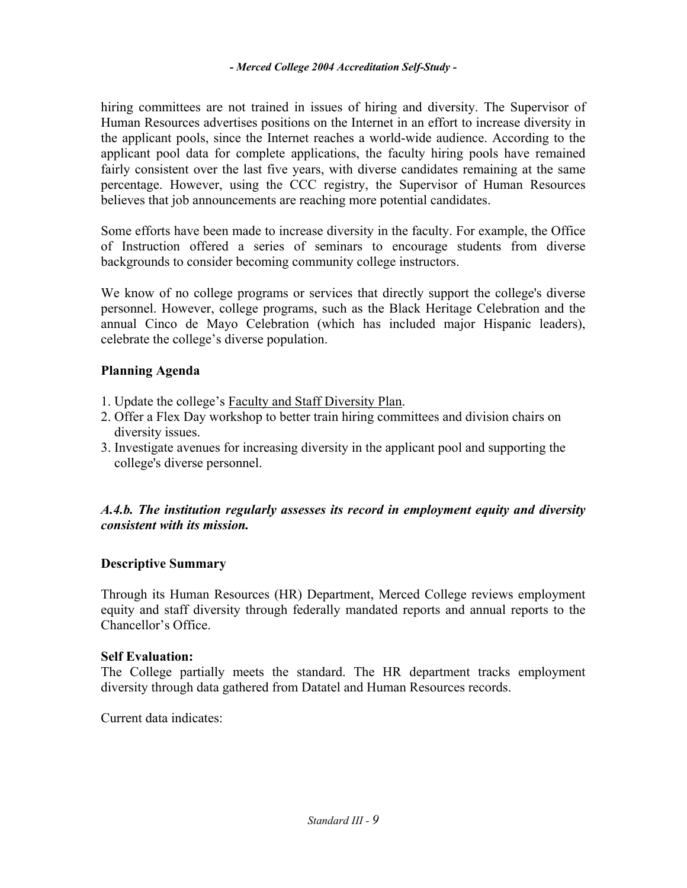hiring committees are not trained in issues of hiring and diversity. The Supervisor of Human Resources advertises positions on the Internet in an effort to increase diversity in the applicant pools, since the Internet reaches a world-wide audience. According to the applicant pool data for complete applications, the faculty hiring pools have remained fairly consistent over the last five years, with diverse candidates remaining at the same percentage. However, using the CCC registry, the Supervisor of Human Resources believes that job announcements are reaching more potential candidates.

Some efforts have been made to increase diversity in the faculty. For example, the Office of Instruction offered a series of seminars to encourage students from diverse backgrounds to consider becoming community college instructors.

We know of no college programs or services that directly support the college's diverse personnel. However, college programs, such as the Black Heritage Celebration and the annual Cinco de Mayo Celebration (which has included major Hispanic leaders), celebrate the college's diverse population.

# **Planning Agenda**

- 1. Update the college's Faculty and Staff Diversity Plan.
- 2. Offer a Flex Day workshop to better train hiring committees and division chairs on diversity issues.
- 3. Investigate avenues for increasing diversity in the applicant pool and supporting the college's diverse personnel.

# *A.4.b. The institution regularly assesses its record in employment equity and diversity consistent with its mission.*

# **Descriptive Summary**

Through its Human Resources (HR) Department, Merced College reviews employment equity and staff diversity through federally mandated reports and annual reports to the Chancellor's Office.

#### **Self Evaluation:**

The College partially meets the standard. The HR department tracks employment diversity through data gathered from Datatel and Human Resources records.

Current data indicates: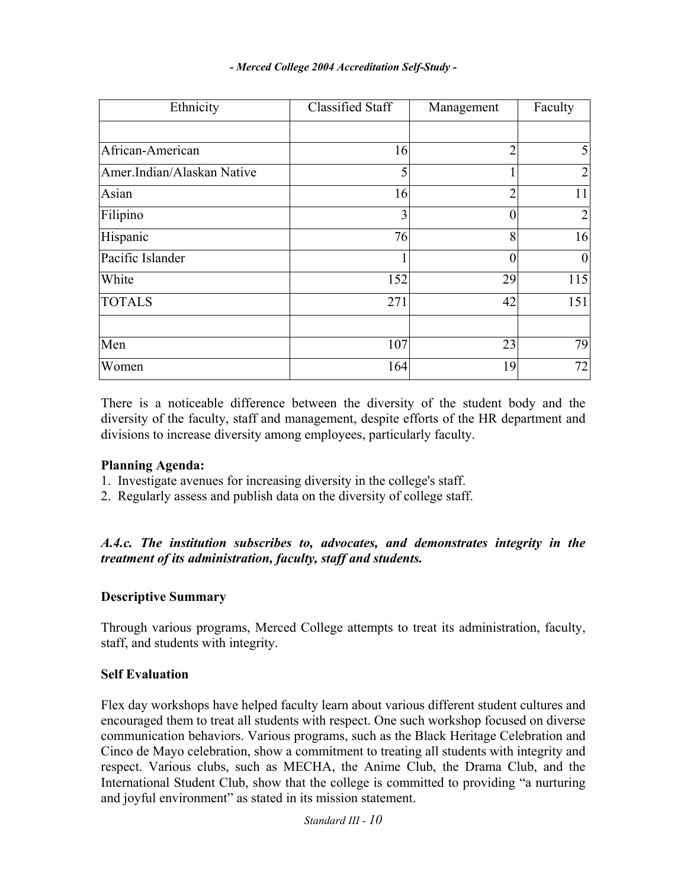| Ethnicity                  | <b>Classified Staff</b> | Management     | Faculty          |
|----------------------------|-------------------------|----------------|------------------|
|                            |                         |                |                  |
| African-American           | 16                      | $\overline{2}$ | 5                |
| Amer.Indian/Alaskan Native | 5                       |                | $\overline{2}$   |
| Asian                      | 16                      | $\overline{2}$ | 11               |
| Filipino                   | 3                       |                | $\overline{2}$   |
| Hispanic                   | 76                      | 8              | 16               |
| Pacific Islander           | $\mathbf{1}$            | ſ              | $\boldsymbol{0}$ |
| White                      | 152                     | 29             | 115              |
| <b>TOTALS</b>              | 271                     | 42             | 151              |
|                            |                         |                |                  |
| Men                        | 107                     | 23             | 79               |
| Women                      | 164                     | 19             | 72               |

There is a noticeable difference between the diversity of the student body and the diversity of the faculty, staff and management, despite efforts of the HR department and divisions to increase diversity among employees, particularly faculty.

# **Planning Agenda:**

- 1. Investigate avenues for increasing diversity in the college's staff.
- 2. Regularly assess and publish data on the diversity of college staff.

*A.4.c. The institution subscribes to, advocates, and demonstrates integrity in the treatment of its administration, faculty, staff and students.* 

# **Descriptive Summary**

Through various programs, Merced College attempts to treat its administration, faculty, staff, and students with integrity.

#### **Self Evaluation**

Flex day workshops have helped faculty learn about various different student cultures and encouraged them to treat all students with respect. One such workshop focused on diverse communication behaviors. Various programs, such as the Black Heritage Celebration and Cinco de Mayo celebration, show a commitment to treating all students with integrity and respect. Various clubs, such as MECHA, the Anime Club, the Drama Club, and the International Student Club, show that the college is committed to providing "a nurturing and joyful environment" as stated in its mission statement.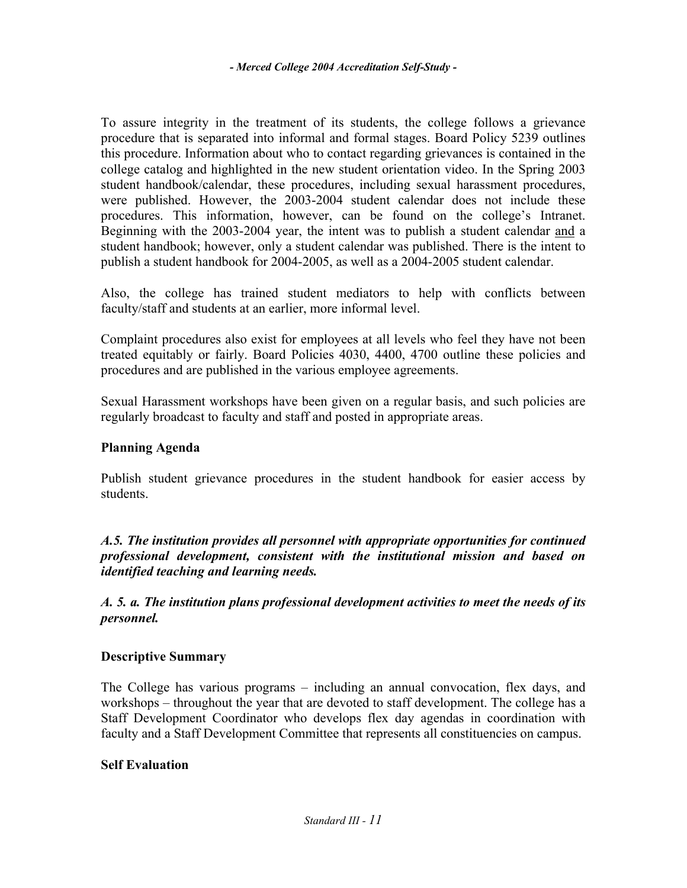To assure integrity in the treatment of its students, the college follows a grievance procedure that is separated into informal and formal stages. Board Policy 5239 outlines this procedure. Information about who to contact regarding grievances is contained in the college catalog and highlighted in the new student orientation video. In the Spring 2003 student handbook/calendar, these procedures, including sexual harassment procedures, were published. However, the 2003-2004 student calendar does not include these procedures. This information, however, can be found on the college's Intranet. Beginning with the 2003-2004 year, the intent was to publish a student calendar and a student handbook; however, only a student calendar was published. There is the intent to publish a student handbook for 2004-2005, as well as a 2004-2005 student calendar.

Also, the college has trained student mediators to help with conflicts between faculty/staff and students at an earlier, more informal level.

Complaint procedures also exist for employees at all levels who feel they have not been treated equitably or fairly. Board Policies 4030, 4400, 4700 outline these policies and procedures and are published in the various employee agreements.

Sexual Harassment workshops have been given on a regular basis, and such policies are regularly broadcast to faculty and staff and posted in appropriate areas.

# **Planning Agenda**

Publish student grievance procedures in the student handbook for easier access by students.

*A.5. The institution provides all personnel with appropriate opportunities for continued professional development, consistent with the institutional mission and based on identified teaching and learning needs.* 

*A. 5. a. The institution plans professional development activities to meet the needs of its personnel.* 

# **Descriptive Summary**

The College has various programs – including an annual convocation, flex days, and workshops – throughout the year that are devoted to staff development. The college has a Staff Development Coordinator who develops flex day agendas in coordination with faculty and a Staff Development Committee that represents all constituencies on campus.

# **Self Evaluation**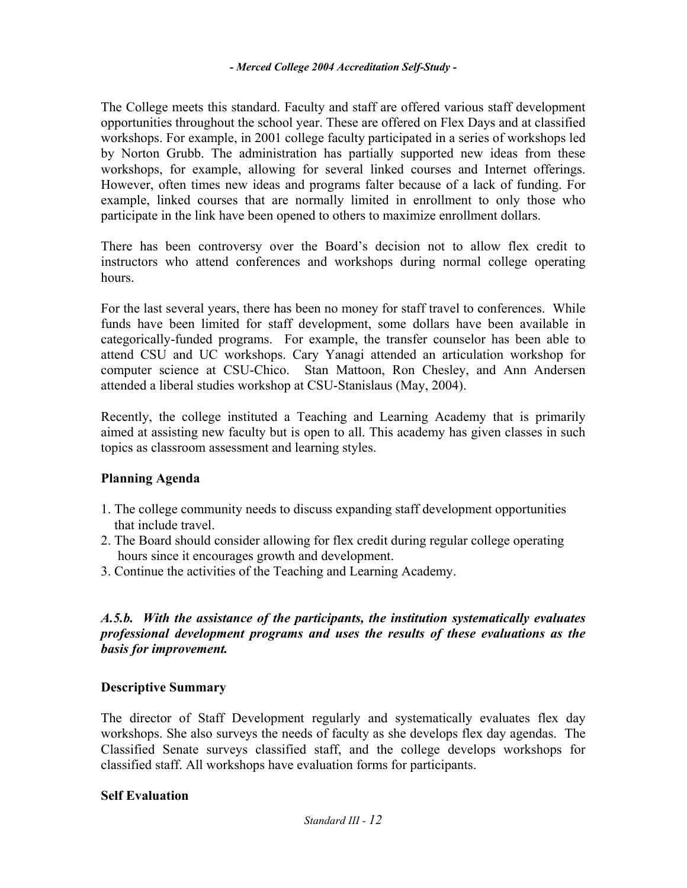The College meets this standard. Faculty and staff are offered various staff development opportunities throughout the school year. These are offered on Flex Days and at classified workshops. For example, in 2001 college faculty participated in a series of workshops led by Norton Grubb. The administration has partially supported new ideas from these workshops, for example, allowing for several linked courses and Internet offerings. However, often times new ideas and programs falter because of a lack of funding. For example, linked courses that are normally limited in enrollment to only those who participate in the link have been opened to others to maximize enrollment dollars.

There has been controversy over the Board's decision not to allow flex credit to instructors who attend conferences and workshops during normal college operating hours.

For the last several years, there has been no money for staff travel to conferences. While funds have been limited for staff development, some dollars have been available in categorically-funded programs. For example, the transfer counselor has been able to attend CSU and UC workshops. Cary Yanagi attended an articulation workshop for computer science at CSU-Chico. Stan Mattoon, Ron Chesley, and Ann Andersen attended a liberal studies workshop at CSU-Stanislaus (May, 2004).

Recently, the college instituted a Teaching and Learning Academy that is primarily aimed at assisting new faculty but is open to all. This academy has given classes in such topics as classroom assessment and learning styles.

# **Planning Agenda**

- 1. The college community needs to discuss expanding staff development opportunities that include travel.
- 2. The Board should consider allowing for flex credit during regular college operating hours since it encourages growth and development.
- 3. Continue the activities of the Teaching and Learning Academy.

# *A.5.b. With the assistance of the participants, the institution systematically evaluates professional development programs and uses the results of these evaluations as the basis for improvement.*

# **Descriptive Summary**

The director of Staff Development regularly and systematically evaluates flex day workshops. She also surveys the needs of faculty as she develops flex day agendas. The Classified Senate surveys classified staff, and the college develops workshops for classified staff. All workshops have evaluation forms for participants.

# **Self Evaluation**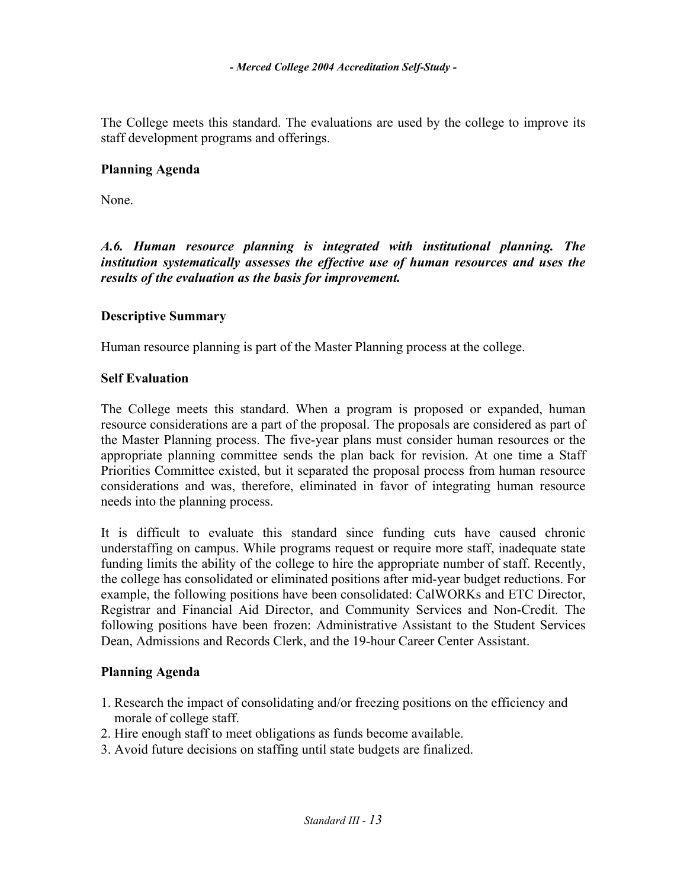The College meets this standard. The evaluations are used by the college to improve its staff development programs and offerings.

# **Planning Agenda**

None.

*A.6. Human resource planning is integrated with institutional planning. The institution systematically assesses the effective use of human resources and uses the results of the evaluation as the basis for improvement.* 

# **Descriptive Summary**

Human resource planning is part of the Master Planning process at the college.

# **Self Evaluation**

The College meets this standard. When a program is proposed or expanded, human resource considerations are a part of the proposal. The proposals are considered as part of the Master Planning process. The five-year plans must consider human resources or the appropriate planning committee sends the plan back for revision. At one time a Staff Priorities Committee existed, but it separated the proposal process from human resource considerations and was, therefore, eliminated in favor of integrating human resource needs into the planning process.

It is difficult to evaluate this standard since funding cuts have caused chronic understaffing on campus. While programs request or require more staff, inadequate state funding limits the ability of the college to hire the appropriate number of staff. Recently, the college has consolidated or eliminated positions after mid-year budget reductions. For example, the following positions have been consolidated: CalWORKs and ETC Director, Registrar and Financial Aid Director, and Community Services and Non-Credit. The following positions have been frozen: Administrative Assistant to the Student Services Dean, Admissions and Records Clerk, and the 19-hour Career Center Assistant.

# **Planning Agenda**

- 1. Research the impact of consolidating and/or freezing positions on the efficiency and morale of college staff.
- 2. Hire enough staff to meet obligations as funds become available.
- 3. Avoid future decisions on staffing until state budgets are finalized.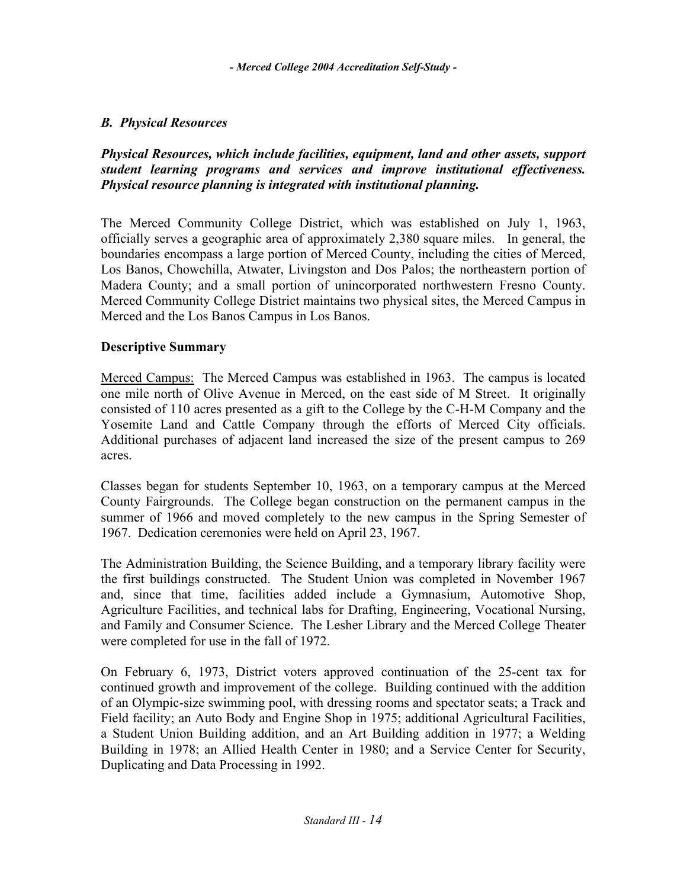# *B. Physical Resources*

# *Physical Resources, which include facilities, equipment, land and other assets, support student learning programs and services and improve institutional effectiveness. Physical resource planning is integrated with institutional planning.*

The Merced Community College District, which was established on July 1, 1963, officially serves a geographic area of approximately 2,380 square miles. In general, the boundaries encompass a large portion of Merced County, including the cities of Merced, Los Banos, Chowchilla, Atwater, Livingston and Dos Palos; the northeastern portion of Madera County; and a small portion of unincorporated northwestern Fresno County. Merced Community College District maintains two physical sites, the Merced Campus in Merced and the Los Banos Campus in Los Banos.

# **Descriptive Summary**

Merced Campus: The Merced Campus was established in 1963. The campus is located one mile north of Olive Avenue in Merced, on the east side of M Street. It originally consisted of 110 acres presented as a gift to the College by the C-H-M Company and the Yosemite Land and Cattle Company through the efforts of Merced City officials. Additional purchases of adjacent land increased the size of the present campus to 269 acres.

Classes began for students September 10, 1963, on a temporary campus at the Merced County Fairgrounds. The College began construction on the permanent campus in the summer of 1966 and moved completely to the new campus in the Spring Semester of 1967. Dedication ceremonies were held on April 23, 1967.

The Administration Building, the Science Building, and a temporary library facility were the first buildings constructed. The Student Union was completed in November 1967 and, since that time, facilities added include a Gymnasium, Automotive Shop, Agriculture Facilities, and technical labs for Drafting, Engineering, Vocational Nursing, and Family and Consumer Science. The Lesher Library and the Merced College Theater were completed for use in the fall of 1972.

On February 6, 1973, District voters approved continuation of the 25-cent tax for continued growth and improvement of the college. Building continued with the addition of an Olympic-size swimming pool, with dressing rooms and spectator seats; a Track and Field facility; an Auto Body and Engine Shop in 1975; additional Agricultural Facilities, a Student Union Building addition, and an Art Building addition in 1977; a Welding Building in 1978; an Allied Health Center in 1980; and a Service Center for Security, Duplicating and Data Processing in 1992.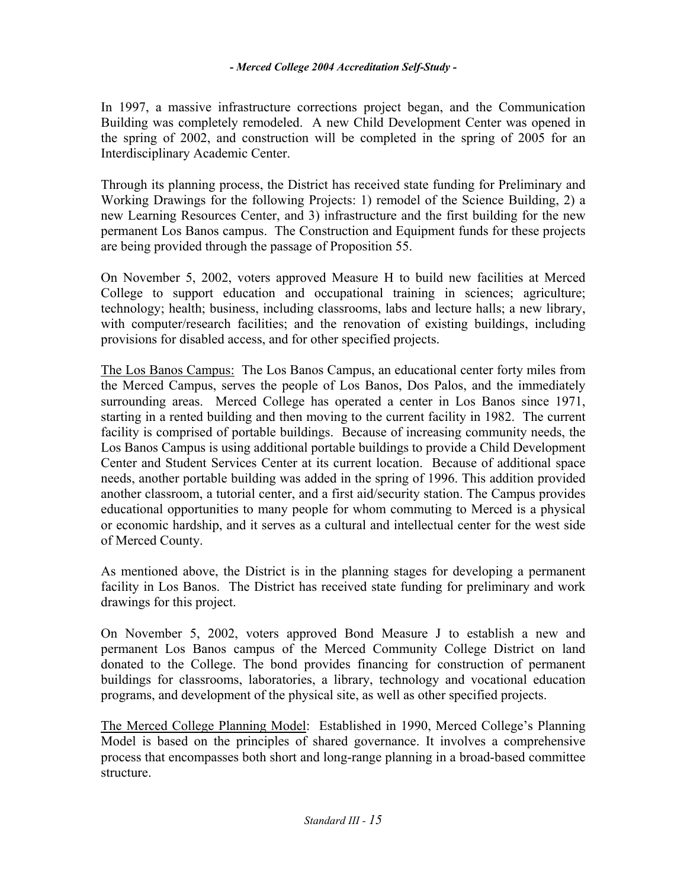In 1997, a massive infrastructure corrections project began, and the Communication Building was completely remodeled. A new Child Development Center was opened in the spring of 2002, and construction will be completed in the spring of 2005 for an Interdisciplinary Academic Center.

Through its planning process, the District has received state funding for Preliminary and Working Drawings for the following Projects: 1) remodel of the Science Building, 2) a new Learning Resources Center, and 3) infrastructure and the first building for the new permanent Los Banos campus. The Construction and Equipment funds for these projects are being provided through the passage of Proposition 55.

On November 5, 2002, voters approved Measure H to build new facilities at Merced College to support education and occupational training in sciences; agriculture; technology; health; business, including classrooms, labs and lecture halls; a new library, with computer/research facilities; and the renovation of existing buildings, including provisions for disabled access, and for other specified projects.

The Los Banos Campus: The Los Banos Campus, an educational center forty miles from the Merced Campus, serves the people of Los Banos, Dos Palos, and the immediately surrounding areas. Merced College has operated a center in Los Banos since 1971, starting in a rented building and then moving to the current facility in 1982. The current facility is comprised of portable buildings. Because of increasing community needs, the Los Banos Campus is using additional portable buildings to provide a Child Development Center and Student Services Center at its current location. Because of additional space needs, another portable building was added in the spring of 1996. This addition provided another classroom, a tutorial center, and a first aid/security station. The Campus provides educational opportunities to many people for whom commuting to Merced is a physical or economic hardship, and it serves as a cultural and intellectual center for the west side of Merced County.

As mentioned above, the District is in the planning stages for developing a permanent facility in Los Banos. The District has received state funding for preliminary and work drawings for this project.

On November 5, 2002, voters approved Bond Measure J to establish a new and permanent Los Banos campus of the Merced Community College District on land donated to the College. The bond provides financing for construction of permanent buildings for classrooms, laboratories, a library, technology and vocational education programs, and development of the physical site, as well as other specified projects.

The Merced College Planning Model: Established in 1990, Merced College's Planning Model is based on the principles of shared governance. It involves a comprehensive process that encompasses both short and long-range planning in a broad-based committee structure.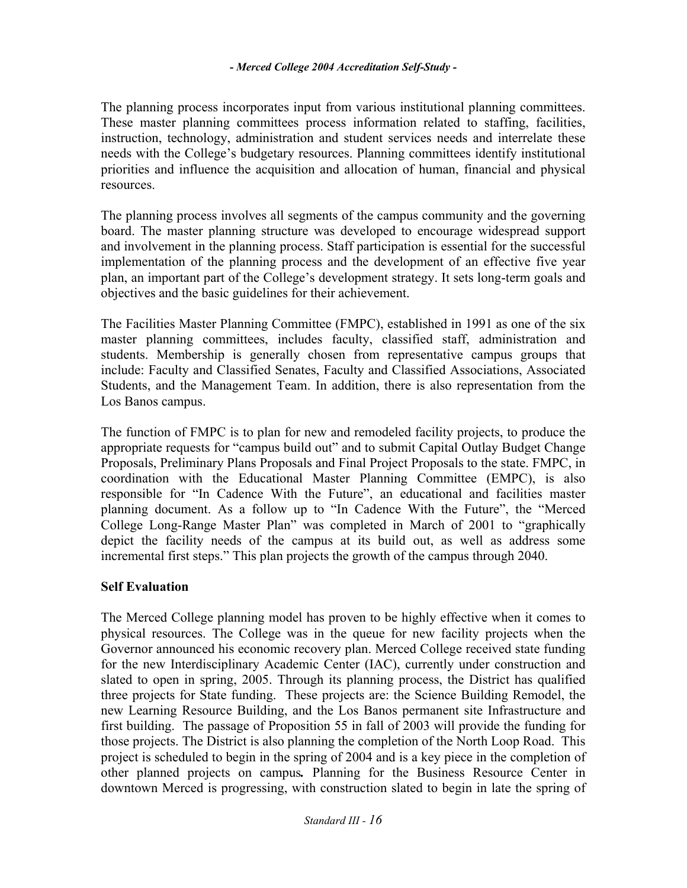The planning process incorporates input from various institutional planning committees. These master planning committees process information related to staffing, facilities, instruction, technology, administration and student services needs and interrelate these needs with the College's budgetary resources. Planning committees identify institutional priorities and influence the acquisition and allocation of human, financial and physical resources.

The planning process involves all segments of the campus community and the governing board. The master planning structure was developed to encourage widespread support and involvement in the planning process. Staff participation is essential for the successful implementation of the planning process and the development of an effective five year plan, an important part of the College's development strategy. It sets long-term goals and objectives and the basic guidelines for their achievement.

The Facilities Master Planning Committee (FMPC), established in 1991 as one of the six master planning committees, includes faculty, classified staff, administration and students. Membership is generally chosen from representative campus groups that include: Faculty and Classified Senates, Faculty and Classified Associations, Associated Students, and the Management Team. In addition, there is also representation from the Los Banos campus.

The function of FMPC is to plan for new and remodeled facility projects, to produce the appropriate requests for "campus build out" and to submit Capital Outlay Budget Change Proposals, Preliminary Plans Proposals and Final Project Proposals to the state. FMPC, in coordination with the Educational Master Planning Committee (EMPC), is also responsible for "In Cadence With the Future", an educational and facilities master planning document. As a follow up to "In Cadence With the Future", the "Merced College Long-Range Master Plan" was completed in March of 2001 to "graphically depict the facility needs of the campus at its build out, as well as address some incremental first steps." This plan projects the growth of the campus through 2040.

# **Self Evaluation**

The Merced College planning model has proven to be highly effective when it comes to physical resources. The College was in the queue for new facility projects when the Governor announced his economic recovery plan. Merced College received state funding for the new Interdisciplinary Academic Center (IAC), currently under construction and slated to open in spring, 2005. Through its planning process, the District has qualified three projects for State funding. These projects are: the Science Building Remodel, the new Learning Resource Building, and the Los Banos permanent site Infrastructure and first building. The passage of Proposition 55 in fall of 2003 will provide the funding for those projects. The District is also planning the completion of the North Loop Road. This project is scheduled to begin in the spring of 2004 and is a key piece in the completion of other planned projects on campus*.* Planning for the Business Resource Center in downtown Merced is progressing, with construction slated to begin in late the spring of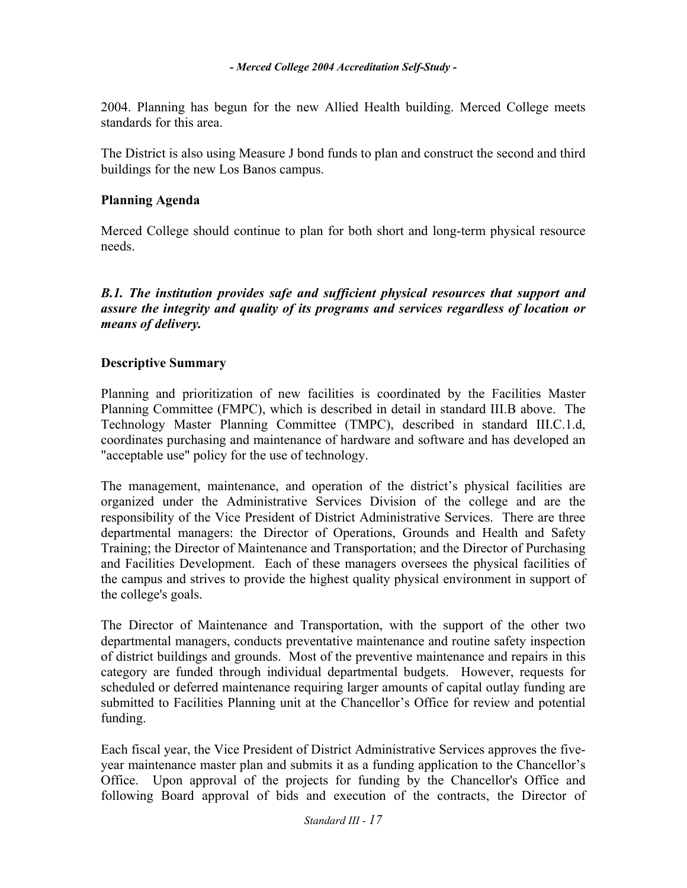2004. Planning has begun for the new Allied Health building. Merced College meets standards for this area.

The District is also using Measure J bond funds to plan and construct the second and third buildings for the new Los Banos campus.

# **Planning Agenda**

Merced College should continue to plan for both short and long-term physical resource needs.

# **B.1. The institution provides safe and sufficient physical resources that support and** *assure the integrity and quality of its programs and services regardless of location or means of delivery.*

# **Descriptive Summary**

Planning and prioritization of new facilities is coordinated by the Facilities Master Planning Committee (FMPC), which is described in detail in standard III.B above. The Technology Master Planning Committee (TMPC), described in standard III.C.1.d, coordinates purchasing and maintenance of hardware and software and has developed an "acceptable use" policy for the use of technology.

The management, maintenance, and operation of the district's physical facilities are organized under the Administrative Services Division of the college and are the responsibility of the Vice President of District Administrative Services. There are three departmental managers: the Director of Operations, Grounds and Health and Safety Training; the Director of Maintenance and Transportation; and the Director of Purchasing and Facilities Development. Each of these managers oversees the physical facilities of the campus and strives to provide the highest quality physical environment in support of the college's goals.

The Director of Maintenance and Transportation, with the support of the other two departmental managers, conducts preventative maintenance and routine safety inspection of district buildings and grounds. Most of the preventive maintenance and repairs in this category are funded through individual departmental budgets. However, requests for scheduled or deferred maintenance requiring larger amounts of capital outlay funding are submitted to Facilities Planning unit at the Chancellor's Office for review and potential funding.

Each fiscal year, the Vice President of District Administrative Services approves the fiveyear maintenance master plan and submits it as a funding application to the Chancellor's Office. Upon approval of the projects for funding by the Chancellor's Office and following Board approval of bids and execution of the contracts, the Director of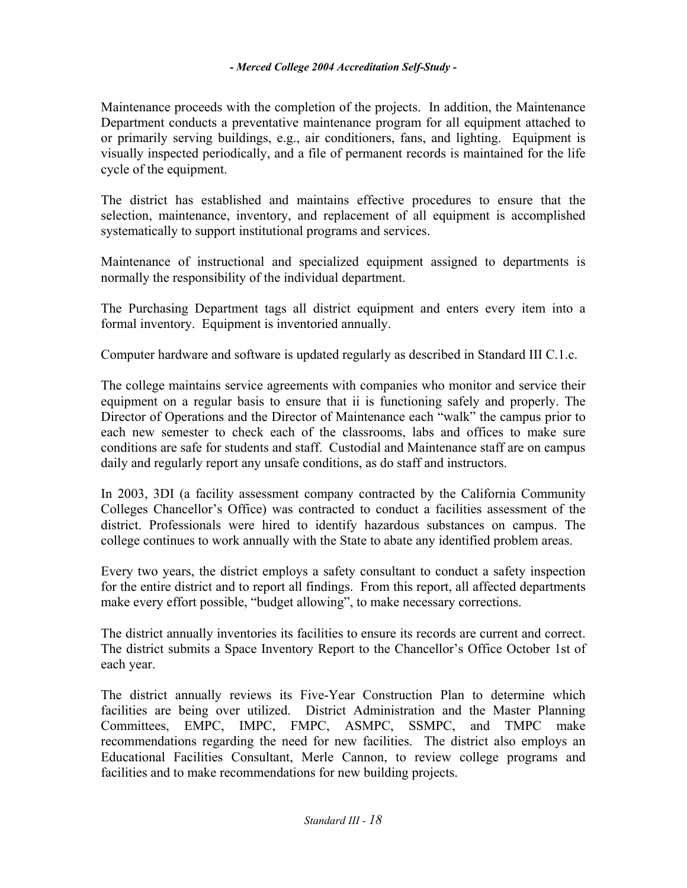Maintenance proceeds with the completion of the projects. In addition, the Maintenance Department conducts a preventative maintenance program for all equipment attached to or primarily serving buildings, e.g., air conditioners, fans, and lighting. Equipment is visually inspected periodically, and a file of permanent records is maintained for the life cycle of the equipment.

The district has established and maintains effective procedures to ensure that the selection, maintenance, inventory, and replacement of all equipment is accomplished systematically to support institutional programs and services.

Maintenance of instructional and specialized equipment assigned to departments is normally the responsibility of the individual department.

The Purchasing Department tags all district equipment and enters every item into a formal inventory. Equipment is inventoried annually.

Computer hardware and software is updated regularly as described in Standard III C.1.c.

The college maintains service agreements with companies who monitor and service their equipment on a regular basis to ensure that ii is functioning safely and properly. The Director of Operations and the Director of Maintenance each "walk" the campus prior to each new semester to check each of the classrooms, labs and offices to make sure conditions are safe for students and staff. Custodial and Maintenance staff are on campus daily and regularly report any unsafe conditions, as do staff and instructors.

In 2003, 3DI (a facility assessment company contracted by the California Community Colleges Chancellor's Office) was contracted to conduct a facilities assessment of the district. Professionals were hired to identify hazardous substances on campus. The college continues to work annually with the State to abate any identified problem areas.

Every two years, the district employs a safety consultant to conduct a safety inspection for the entire district and to report all findings. From this report, all affected departments make every effort possible, "budget allowing", to make necessary corrections.

The district annually inventories its facilities to ensure its records are current and correct. The district submits a Space Inventory Report to the Chancellor's Office October 1st of each year.

The district annually reviews its Five-Year Construction Plan to determine which facilities are being over utilized. District Administration and the Master Planning Committees, EMPC, IMPC, FMPC, ASMPC, SSMPC, and TMPC make recommendations regarding the need for new facilities. The district also employs an Educational Facilities Consultant, Merle Cannon, to review college programs and facilities and to make recommendations for new building projects.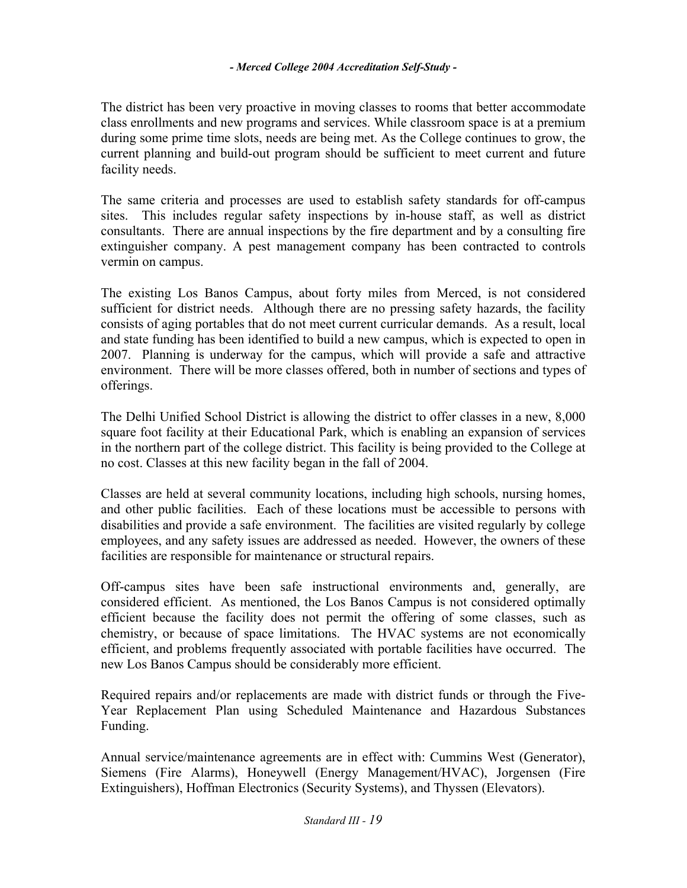The district has been very proactive in moving classes to rooms that better accommodate class enrollments and new programs and services. While classroom space is at a premium during some prime time slots, needs are being met. As the College continues to grow, the current planning and build-out program should be sufficient to meet current and future facility needs.

The same criteria and processes are used to establish safety standards for off-campus sites. This includes regular safety inspections by in-house staff, as well as district consultants. There are annual inspections by the fire department and by a consulting fire extinguisher company. A pest management company has been contracted to controls vermin on campus.

The existing Los Banos Campus, about forty miles from Merced, is not considered sufficient for district needs. Although there are no pressing safety hazards, the facility consists of aging portables that do not meet current curricular demands. As a result, local and state funding has been identified to build a new campus, which is expected to open in 2007. Planning is underway for the campus, which will provide a safe and attractive environment. There will be more classes offered, both in number of sections and types of offerings.

The Delhi Unified School District is allowing the district to offer classes in a new, 8,000 square foot facility at their Educational Park, which is enabling an expansion of services in the northern part of the college district. This facility is being provided to the College at no cost. Classes at this new facility began in the fall of 2004.

Classes are held at several community locations, including high schools, nursing homes, and other public facilities. Each of these locations must be accessible to persons with disabilities and provide a safe environment. The facilities are visited regularly by college employees, and any safety issues are addressed as needed. However, the owners of these facilities are responsible for maintenance or structural repairs.

Off-campus sites have been safe instructional environments and, generally, are considered efficient. As mentioned, the Los Banos Campus is not considered optimally efficient because the facility does not permit the offering of some classes, such as chemistry, or because of space limitations. The HVAC systems are not economically efficient, and problems frequently associated with portable facilities have occurred. The new Los Banos Campus should be considerably more efficient.

Required repairs and/or replacements are made with district funds or through the Five-Year Replacement Plan using Scheduled Maintenance and Hazardous Substances Funding.

Annual service/maintenance agreements are in effect with: Cummins West (Generator), Siemens (Fire Alarms), Honeywell (Energy Management/HVAC), Jorgensen (Fire Extinguishers), Hoffman Electronics (Security Systems), and Thyssen (Elevators).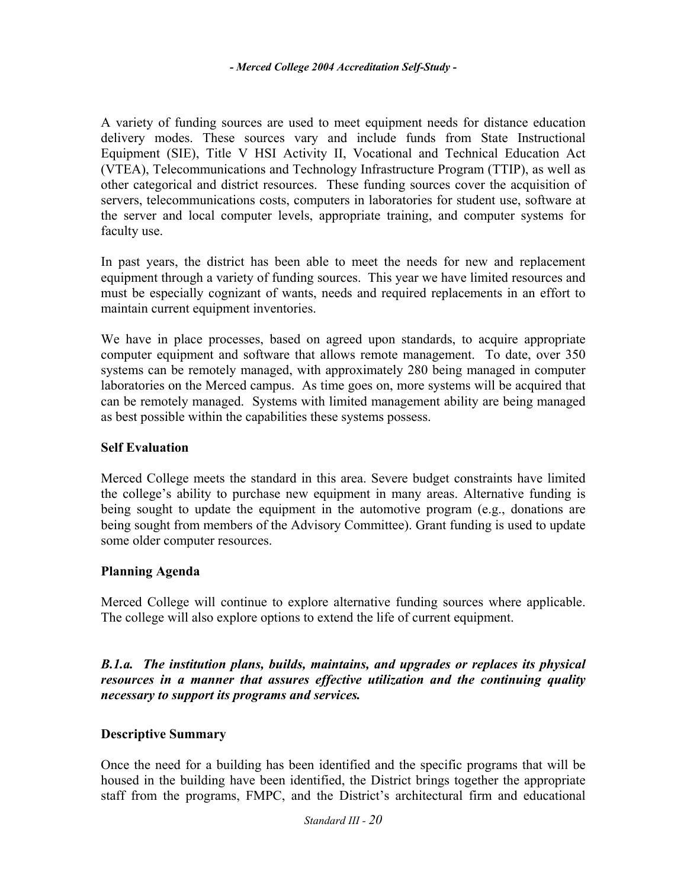A variety of funding sources are used to meet equipment needs for distance education delivery modes. These sources vary and include funds from State Instructional Equipment (SIE), Title V HSI Activity II, Vocational and Technical Education Act (VTEA), Telecommunications and Technology Infrastructure Program (TTIP), as well as other categorical and district resources. These funding sources cover the acquisition of servers, telecommunications costs, computers in laboratories for student use, software at the server and local computer levels, appropriate training, and computer systems for faculty use.

In past years, the district has been able to meet the needs for new and replacement equipment through a variety of funding sources. This year we have limited resources and must be especially cognizant of wants, needs and required replacements in an effort to maintain current equipment inventories.

We have in place processes, based on agreed upon standards, to acquire appropriate computer equipment and software that allows remote management. To date, over 350 systems can be remotely managed, with approximately 280 being managed in computer laboratories on the Merced campus. As time goes on, more systems will be acquired that can be remotely managed. Systems with limited management ability are being managed as best possible within the capabilities these systems possess.

# **Self Evaluation**

Merced College meets the standard in this area. Severe budget constraints have limited the college's ability to purchase new equipment in many areas. Alternative funding is being sought to update the equipment in the automotive program (e.g., donations are being sought from members of the Advisory Committee). Grant funding is used to update some older computer resources.

# **Planning Agenda**

Merced College will continue to explore alternative funding sources where applicable. The college will also explore options to extend the life of current equipment.

*B.1.a. The institution plans, builds, maintains, and upgrades or replaces its physical resources in a manner that assures effective utilization and the continuing quality necessary to support its programs and services.* 

# **Descriptive Summary**

Once the need for a building has been identified and the specific programs that will be housed in the building have been identified, the District brings together the appropriate staff from the programs, FMPC, and the District's architectural firm and educational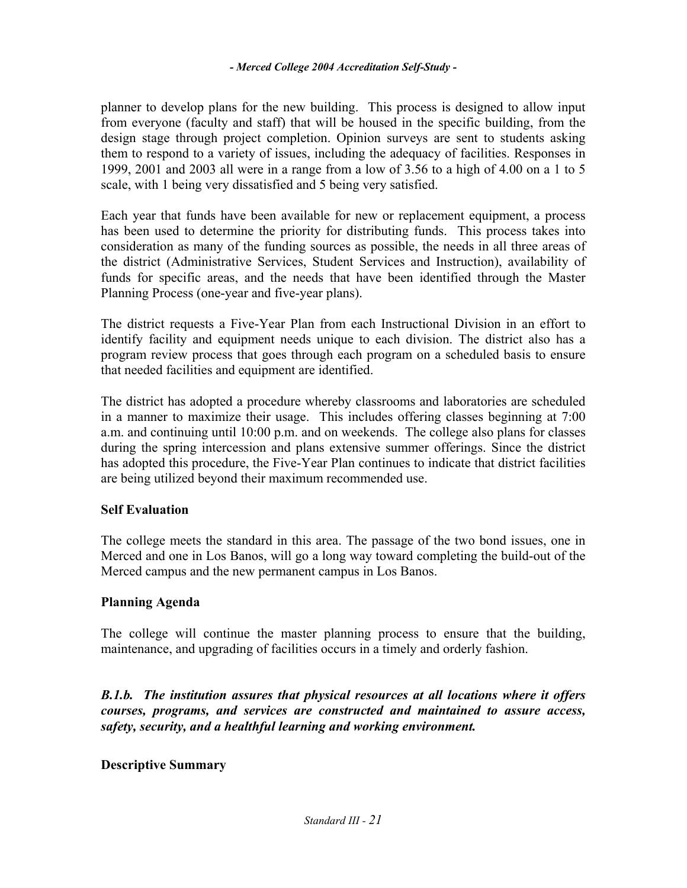planner to develop plans for the new building. This process is designed to allow input from everyone (faculty and staff) that will be housed in the specific building, from the design stage through project completion. Opinion surveys are sent to students asking them to respond to a variety of issues, including the adequacy of facilities. Responses in 1999, 2001 and 2003 all were in a range from a low of 3.56 to a high of 4.00 on a 1 to 5 scale, with 1 being very dissatisfied and 5 being very satisfied.

Each year that funds have been available for new or replacement equipment, a process has been used to determine the priority for distributing funds. This process takes into consideration as many of the funding sources as possible, the needs in all three areas of the district (Administrative Services, Student Services and Instruction), availability of funds for specific areas, and the needs that have been identified through the Master Planning Process (one-year and five-year plans).

The district requests a Five-Year Plan from each Instructional Division in an effort to identify facility and equipment needs unique to each division. The district also has a program review process that goes through each program on a scheduled basis to ensure that needed facilities and equipment are identified.

The district has adopted a procedure whereby classrooms and laboratories are scheduled in a manner to maximize their usage. This includes offering classes beginning at 7:00 a.m. and continuing until 10:00 p.m. and on weekends. The college also plans for classes during the spring intercession and plans extensive summer offerings. Since the district has adopted this procedure, the Five-Year Plan continues to indicate that district facilities are being utilized beyond their maximum recommended use.

# **Self Evaluation**

The college meets the standard in this area. The passage of the two bond issues, one in Merced and one in Los Banos, will go a long way toward completing the build-out of the Merced campus and the new permanent campus in Los Banos.

#### **Planning Agenda**

The college will continue the master planning process to ensure that the building, maintenance, and upgrading of facilities occurs in a timely and orderly fashion.

*B.1.b. The institution assures that physical resources at all locations where it offers courses, programs, and services are constructed and maintained to assure access, safety, security, and a healthful learning and working environment.* 

**Descriptive Summary**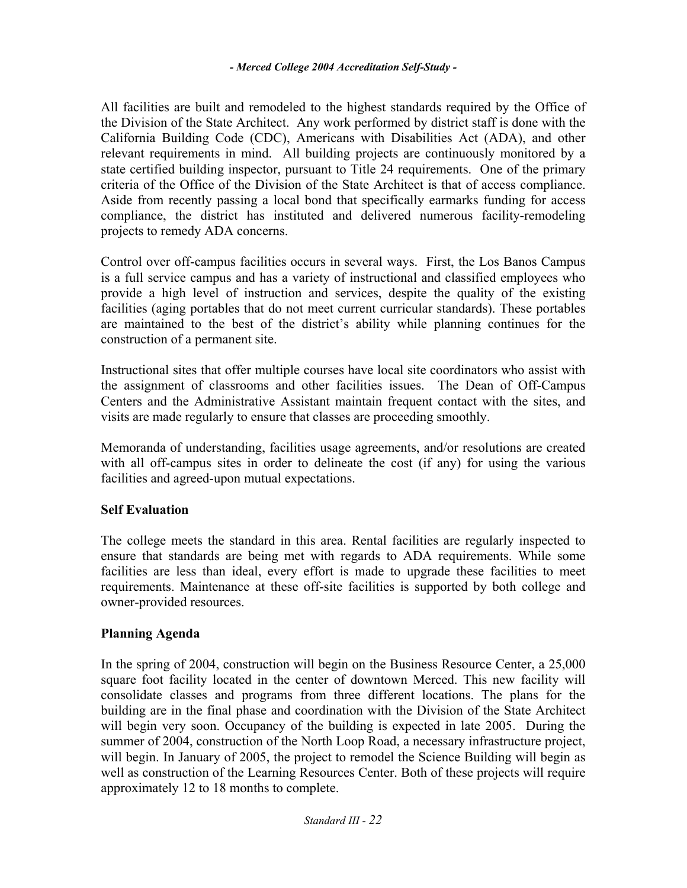All facilities are built and remodeled to the highest standards required by the Office of the Division of the State Architect. Any work performed by district staff is done with the California Building Code (CDC), Americans with Disabilities Act (ADA), and other relevant requirements in mind. All building projects are continuously monitored by a state certified building inspector, pursuant to Title 24 requirements. One of the primary criteria of the Office of the Division of the State Architect is that of access compliance. Aside from recently passing a local bond that specifically earmarks funding for access compliance, the district has instituted and delivered numerous facility-remodeling projects to remedy ADA concerns.

Control over off-campus facilities occurs in several ways. First, the Los Banos Campus is a full service campus and has a variety of instructional and classified employees who provide a high level of instruction and services, despite the quality of the existing facilities (aging portables that do not meet current curricular standards). These portables are maintained to the best of the district's ability while planning continues for the construction of a permanent site.

Instructional sites that offer multiple courses have local site coordinators who assist with the assignment of classrooms and other facilities issues. The Dean of Off-Campus Centers and the Administrative Assistant maintain frequent contact with the sites, and visits are made regularly to ensure that classes are proceeding smoothly.

Memoranda of understanding, facilities usage agreements, and/or resolutions are created with all off-campus sites in order to delineate the cost (if any) for using the various facilities and agreed-upon mutual expectations.

# **Self Evaluation**

The college meets the standard in this area. Rental facilities are regularly inspected to ensure that standards are being met with regards to ADA requirements. While some facilities are less than ideal, every effort is made to upgrade these facilities to meet requirements. Maintenance at these off-site facilities is supported by both college and owner-provided resources.

# **Planning Agenda**

In the spring of 2004, construction will begin on the Business Resource Center, a 25,000 square foot facility located in the center of downtown Merced. This new facility will consolidate classes and programs from three different locations. The plans for the building are in the final phase and coordination with the Division of the State Architect will begin very soon. Occupancy of the building is expected in late 2005. During the summer of 2004, construction of the North Loop Road, a necessary infrastructure project, will begin. In January of 2005, the project to remodel the Science Building will begin as well as construction of the Learning Resources Center. Both of these projects will require approximately 12 to 18 months to complete.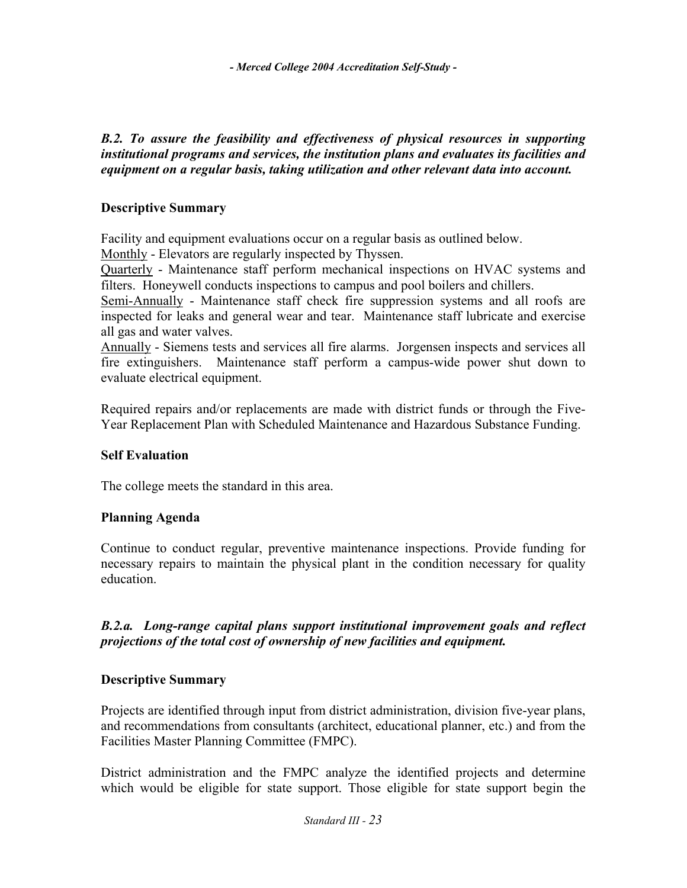# *B.2. To assure the feasibility and effectiveness of physical resources in supporting institutional programs and services, the institution plans and evaluates its facilities and equipment on a regular basis, taking utilization and other relevant data into account.*

# **Descriptive Summary**

Facility and equipment evaluations occur on a regular basis as outlined below.

Monthly - Elevators are regularly inspected by Thyssen.

Quarterly - Maintenance staff perform mechanical inspections on HVAC systems and filters. Honeywell conducts inspections to campus and pool boilers and chillers.

Semi-Annually - Maintenance staff check fire suppression systems and all roofs are inspected for leaks and general wear and tear. Maintenance staff lubricate and exercise all gas and water valves.

Annually - Siemens tests and services all fire alarms. Jorgensen inspects and services all fire extinguishers. Maintenance staff perform a campus-wide power shut down to evaluate electrical equipment.

Required repairs and/or replacements are made with district funds or through the Five-Year Replacement Plan with Scheduled Maintenance and Hazardous Substance Funding.

# **Self Evaluation**

The college meets the standard in this area.

# **Planning Agenda**

Continue to conduct regular, preventive maintenance inspections. Provide funding for necessary repairs to maintain the physical plant in the condition necessary for quality education.

# *B.2.a. Long-range capital plans support institutional improvement goals and reflect projections of the total cost of ownership of new facilities and equipment.*

# **Descriptive Summary**

Projects are identified through input from district administration, division five-year plans, and recommendations from consultants (architect, educational planner, etc.) and from the Facilities Master Planning Committee (FMPC).

District administration and the FMPC analyze the identified projects and determine which would be eligible for state support. Those eligible for state support begin the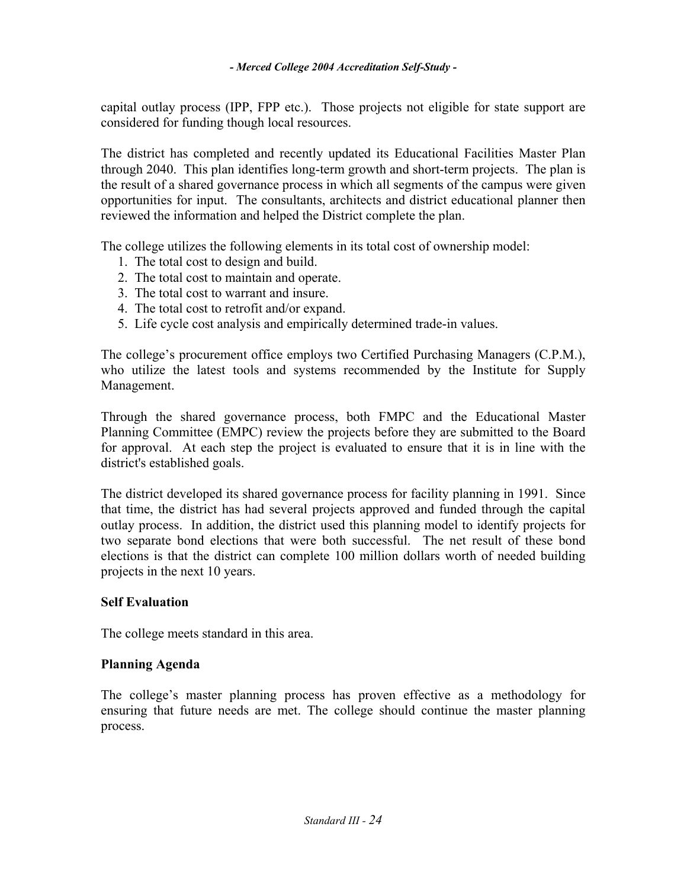capital outlay process (IPP, FPP etc.). Those projects not eligible for state support are considered for funding though local resources.

The district has completed and recently updated its Educational Facilities Master Plan through 2040. This plan identifies long-term growth and short-term projects. The plan is the result of a shared governance process in which all segments of the campus were given opportunities for input. The consultants, architects and district educational planner then reviewed the information and helped the District complete the plan.

The college utilizes the following elements in its total cost of ownership model:

- 1. The total cost to design and build.
- 2. The total cost to maintain and operate.
- 3. The total cost to warrant and insure.
- 4. The total cost to retrofit and/or expand.
- 5. Life cycle cost analysis and empirically determined trade-in values.

The college's procurement office employs two Certified Purchasing Managers (C.P.M.), who utilize the latest tools and systems recommended by the Institute for Supply Management.

Through the shared governance process, both FMPC and the Educational Master Planning Committee (EMPC) review the projects before they are submitted to the Board for approval. At each step the project is evaluated to ensure that it is in line with the district's established goals.

The district developed its shared governance process for facility planning in 1991. Since that time, the district has had several projects approved and funded through the capital outlay process. In addition, the district used this planning model to identify projects for two separate bond elections that were both successful. The net result of these bond elections is that the district can complete 100 million dollars worth of needed building projects in the next 10 years.

# **Self Evaluation**

The college meets standard in this area.

# **Planning Agenda**

The college's master planning process has proven effective as a methodology for ensuring that future needs are met. The college should continue the master planning process.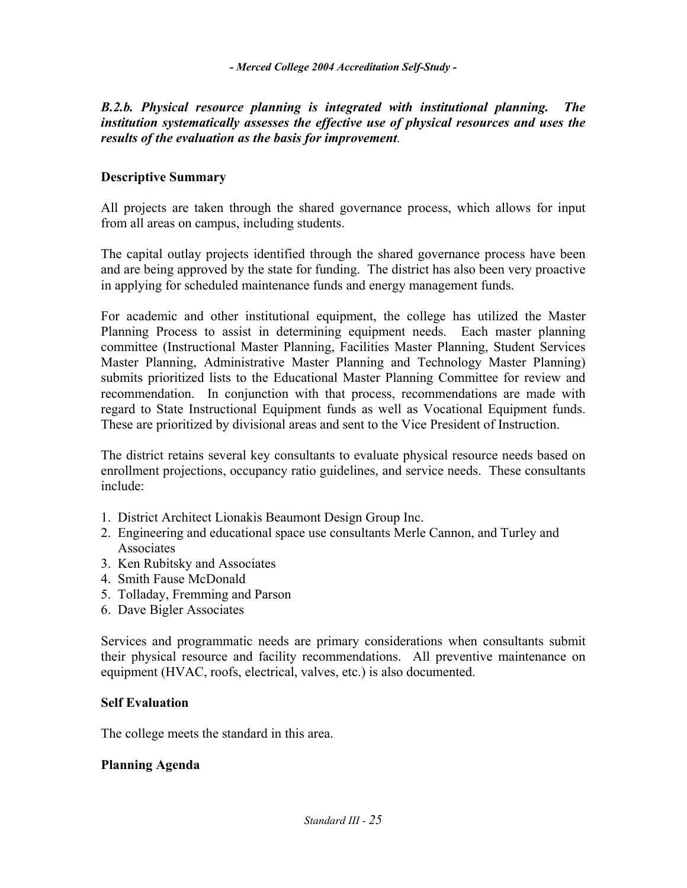# *B.2.b. Physical resource planning is integrated with institutional planning. The institution systematically assesses the effective use of physical resources and uses the results of the evaluation as the basis for improvement.*

# **Descriptive Summary**

All projects are taken through the shared governance process, which allows for input from all areas on campus, including students.

The capital outlay projects identified through the shared governance process have been and are being approved by the state for funding. The district has also been very proactive in applying for scheduled maintenance funds and energy management funds.

For academic and other institutional equipment, the college has utilized the Master Planning Process to assist in determining equipment needs. Each master planning committee (Instructional Master Planning, Facilities Master Planning, Student Services Master Planning, Administrative Master Planning and Technology Master Planning) submits prioritized lists to the Educational Master Planning Committee for review and recommendation. In conjunction with that process, recommendations are made with regard to State Instructional Equipment funds as well as Vocational Equipment funds. These are prioritized by divisional areas and sent to the Vice President of Instruction.

The district retains several key consultants to evaluate physical resource needs based on enrollment projections, occupancy ratio guidelines, and service needs. These consultants include:

- 1. District Architect Lionakis Beaumont Design Group Inc.
- 2. Engineering and educational space use consultants Merle Cannon, and Turley and **Associates**
- 3. Ken Rubitsky and Associates
- 4. Smith Fause McDonald
- 5. Tolladay, Fremming and Parson
- 6. Dave Bigler Associates

Services and programmatic needs are primary considerations when consultants submit their physical resource and facility recommendations. All preventive maintenance on equipment (HVAC, roofs, electrical, valves, etc.) is also documented.

#### **Self Evaluation**

The college meets the standard in this area.

#### **Planning Agenda**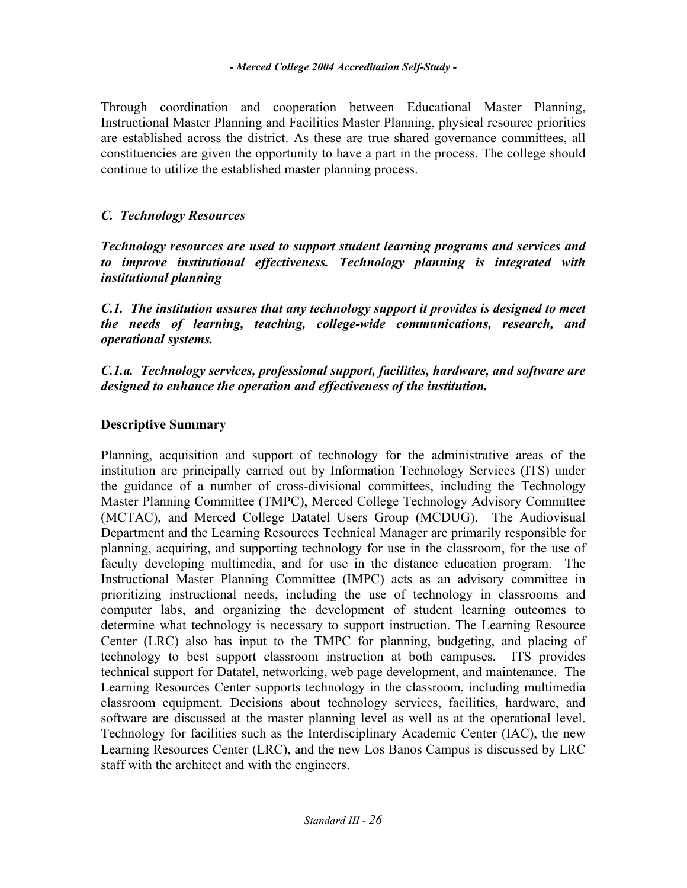Through coordination and cooperation between Educational Master Planning, Instructional Master Planning and Facilities Master Planning, physical resource priorities are established across the district. As these are true shared governance committees, all constituencies are given the opportunity to have a part in the process. The college should continue to utilize the established master planning process.

# *C. Technology Resources*

*Technology resources are used to support student learning programs and services and to improve institutional effectiveness. Technology planning is integrated with institutional planning* 

*C.1. The institution assures that any technology support it provides is designed to meet the needs of learning, teaching, college-wide communications, research, and operational systems.* 

*C.1.a. Technology services, professional support, facilities, hardware, and software are designed to enhance the operation and effectiveness of the institution.*

# **Descriptive Summary**

Planning, acquisition and support of technology for the administrative areas of the institution are principally carried out by Information Technology Services (ITS) under the guidance of a number of cross-divisional committees, including the Technology Master Planning Committee (TMPC), Merced College Technology Advisory Committee (MCTAC), and Merced College Datatel Users Group (MCDUG). The Audiovisual Department and the Learning Resources Technical Manager are primarily responsible for planning, acquiring, and supporting technology for use in the classroom, for the use of faculty developing multimedia, and for use in the distance education program. The Instructional Master Planning Committee (IMPC) acts as an advisory committee in prioritizing instructional needs, including the use of technology in classrooms and computer labs, and organizing the development of student learning outcomes to determine what technology is necessary to support instruction. The Learning Resource Center (LRC) also has input to the TMPC for planning, budgeting, and placing of technology to best support classroom instruction at both campuses. ITS provides technical support for Datatel, networking, web page development, and maintenance. The Learning Resources Center supports technology in the classroom, including multimedia classroom equipment. Decisions about technology services, facilities, hardware, and software are discussed at the master planning level as well as at the operational level. Technology for facilities such as the Interdisciplinary Academic Center (IAC), the new Learning Resources Center (LRC), and the new Los Banos Campus is discussed by LRC staff with the architect and with the engineers.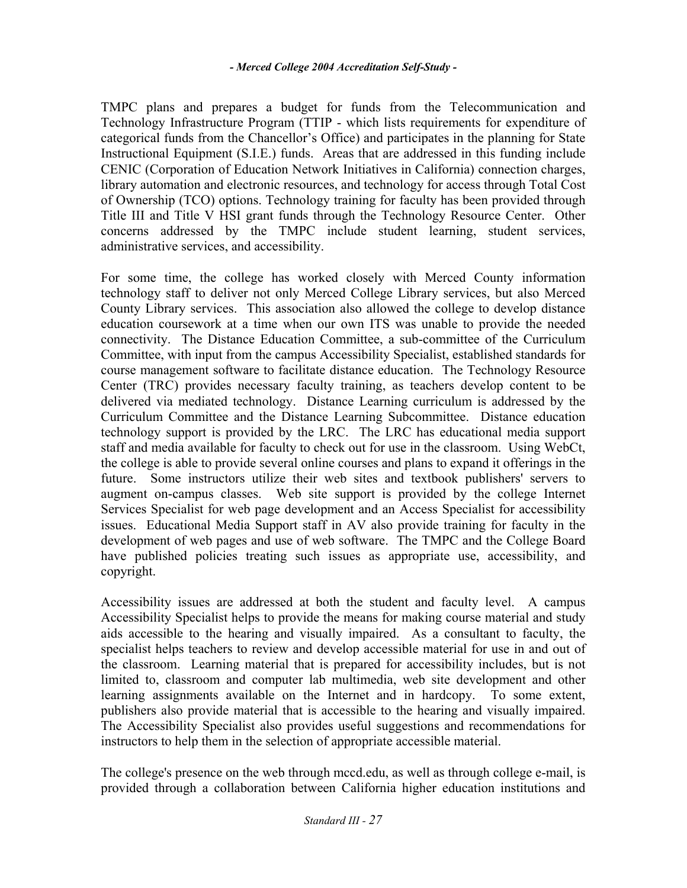TMPC plans and prepares a budget for funds from the Telecommunication and Technology Infrastructure Program (TTIP - which lists requirements for expenditure of categorical funds from the Chancellor's Office) and participates in the planning for State Instructional Equipment (S.I.E.) funds. Areas that are addressed in this funding include CENIC (Corporation of Education Network Initiatives in California) connection charges, library automation and electronic resources, and technology for access through Total Cost of Ownership (TCO) options. Technology training for faculty has been provided through Title III and Title V HSI grant funds through the Technology Resource Center. Other concerns addressed by the TMPC include student learning, student services, administrative services, and accessibility.

For some time, the college has worked closely with Merced County information technology staff to deliver not only Merced College Library services, but also Merced County Library services. This association also allowed the college to develop distance education coursework at a time when our own ITS was unable to provide the needed connectivity. The Distance Education Committee, a sub-committee of the Curriculum Committee, with input from the campus Accessibility Specialist, established standards for course management software to facilitate distance education. The Technology Resource Center (TRC) provides necessary faculty training, as teachers develop content to be delivered via mediated technology. Distance Learning curriculum is addressed by the Curriculum Committee and the Distance Learning Subcommittee. Distance education technology support is provided by the LRC. The LRC has educational media support staff and media available for faculty to check out for use in the classroom. Using WebCt, the college is able to provide several online courses and plans to expand it offerings in the future. Some instructors utilize their web sites and textbook publishers' servers to augment on-campus classes. Web site support is provided by the college Internet Services Specialist for web page development and an Access Specialist for accessibility issues. Educational Media Support staff in AV also provide training for faculty in the development of web pages and use of web software. The TMPC and the College Board have published policies treating such issues as appropriate use, accessibility, and copyright.

Accessibility issues are addressed at both the student and faculty level. A campus Accessibility Specialist helps to provide the means for making course material and study aids accessible to the hearing and visually impaired. As a consultant to faculty, the specialist helps teachers to review and develop accessible material for use in and out of the classroom. Learning material that is prepared for accessibility includes, but is not limited to, classroom and computer lab multimedia, web site development and other learning assignments available on the Internet and in hardcopy. To some extent, publishers also provide material that is accessible to the hearing and visually impaired. The Accessibility Specialist also provides useful suggestions and recommendations for instructors to help them in the selection of appropriate accessible material.

The college's presence on the web through mccd.edu, as well as through college e-mail, is provided through a collaboration between California higher education institutions and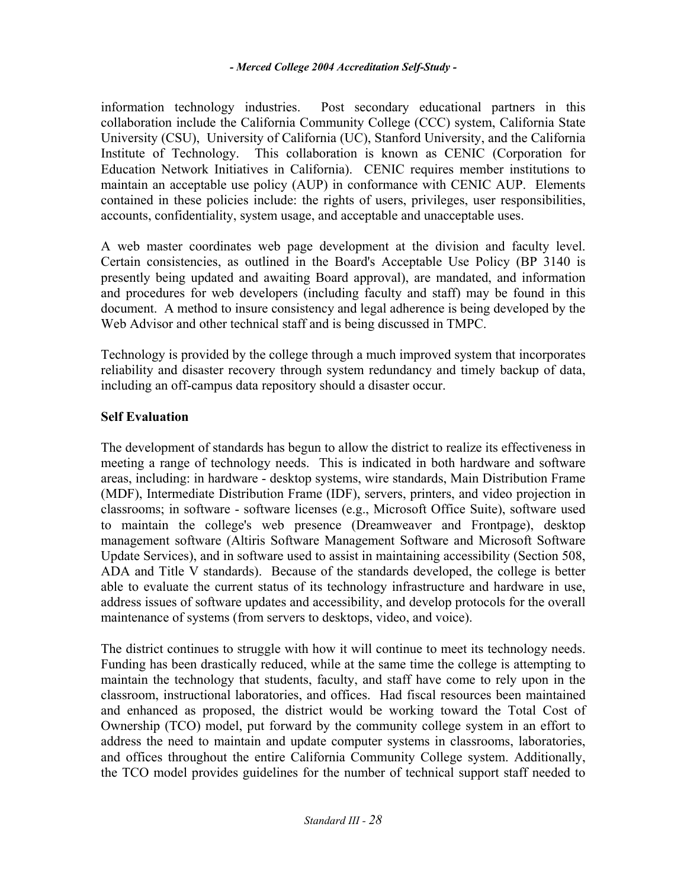information technology industries. Post secondary educational partners in this collaboration include the California Community College (CCC) system, California State University (CSU), University of California (UC), Stanford University, and the California Institute of Technology. This collaboration is known as CENIC (Corporation for Education Network Initiatives in California). CENIC requires member institutions to maintain an acceptable use policy (AUP) in conformance with CENIC AUP. Elements contained in these policies include: the rights of users, privileges, user responsibilities, accounts, confidentiality, system usage, and acceptable and unacceptable uses.

A web master coordinates web page development at the division and faculty level. Certain consistencies, as outlined in the Board's Acceptable Use Policy (BP 3140 is presently being updated and awaiting Board approval), are mandated, and information and procedures for web developers (including faculty and staff) may be found in this document. A method to insure consistency and legal adherence is being developed by the Web Advisor and other technical staff and is being discussed in TMPC.

Technology is provided by the college through a much improved system that incorporates reliability and disaster recovery through system redundancy and timely backup of data, including an off-campus data repository should a disaster occur.

# **Self Evaluation**

The development of standards has begun to allow the district to realize its effectiveness in meeting a range of technology needs. This is indicated in both hardware and software areas, including: in hardware - desktop systems, wire standards, Main Distribution Frame (MDF), Intermediate Distribution Frame (IDF), servers, printers, and video projection in classrooms; in software - software licenses (e.g., Microsoft Office Suite), software used to maintain the college's web presence (Dreamweaver and Frontpage), desktop management software (Altiris Software Management Software and Microsoft Software Update Services), and in software used to assist in maintaining accessibility (Section 508, ADA and Title V standards). Because of the standards developed, the college is better able to evaluate the current status of its technology infrastructure and hardware in use, address issues of software updates and accessibility, and develop protocols for the overall maintenance of systems (from servers to desktops, video, and voice).

The district continues to struggle with how it will continue to meet its technology needs. Funding has been drastically reduced, while at the same time the college is attempting to maintain the technology that students, faculty, and staff have come to rely upon in the classroom, instructional laboratories, and offices. Had fiscal resources been maintained and enhanced as proposed, the district would be working toward the Total Cost of Ownership (TCO) model, put forward by the community college system in an effort to address the need to maintain and update computer systems in classrooms, laboratories, and offices throughout the entire California Community College system. Additionally, the TCO model provides guidelines for the number of technical support staff needed to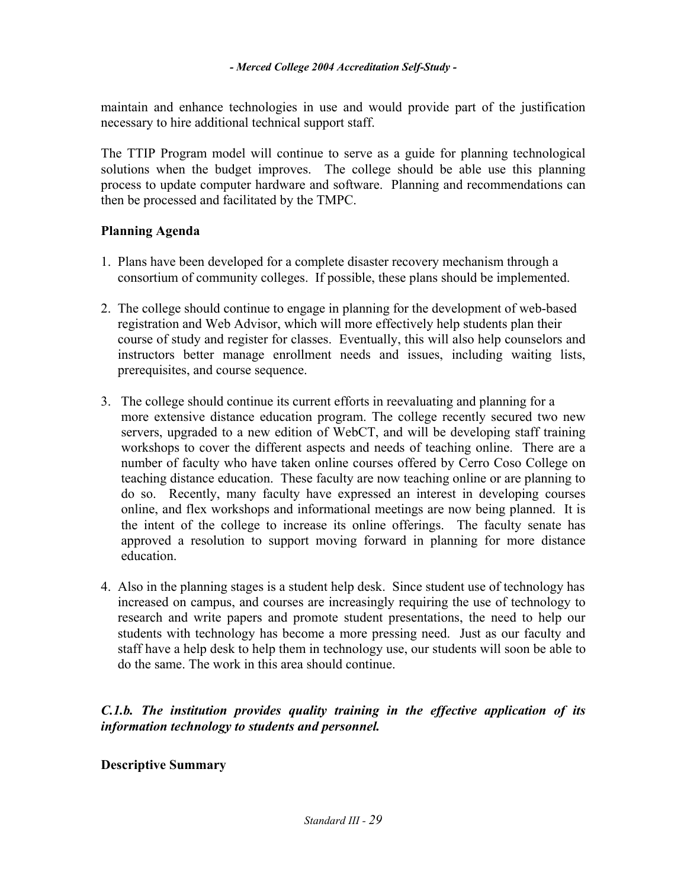maintain and enhance technologies in use and would provide part of the justification necessary to hire additional technical support staff.

The TTIP Program model will continue to serve as a guide for planning technological solutions when the budget improves. The college should be able use this planning process to update computer hardware and software. Planning and recommendations can then be processed and facilitated by the TMPC.

# **Planning Agenda**

- 1. Plans have been developed for a complete disaster recovery mechanism through a consortium of community colleges. If possible, these plans should be implemented.
- 2. The college should continue to engage in planning for the development of web-based registration and Web Advisor, which will more effectively help students plan their course of study and register for classes. Eventually, this will also help counselors and instructors better manage enrollment needs and issues, including waiting lists, prerequisites, and course sequence.
- 3. The college should continue its current efforts in reevaluating and planning for a more extensive distance education program. The college recently secured two new servers, upgraded to a new edition of WebCT, and will be developing staff training workshops to cover the different aspects and needs of teaching online. There are a number of faculty who have taken online courses offered by Cerro Coso College on teaching distance education. These faculty are now teaching online or are planning to do so. Recently, many faculty have expressed an interest in developing courses online, and flex workshops and informational meetings are now being planned. It is the intent of the college to increase its online offerings. The faculty senate has approved a resolution to support moving forward in planning for more distance education.
- 4. Also in the planning stages is a student help desk. Since student use of technology has increased on campus, and courses are increasingly requiring the use of technology to research and write papers and promote student presentations, the need to help our students with technology has become a more pressing need. Just as our faculty and staff have a help desk to help them in technology use, our students will soon be able to do the same. The work in this area should continue.

# *C.1.b. The institution provides quality training in the effective application of its information technology to students and personnel.*

# **Descriptive Summary**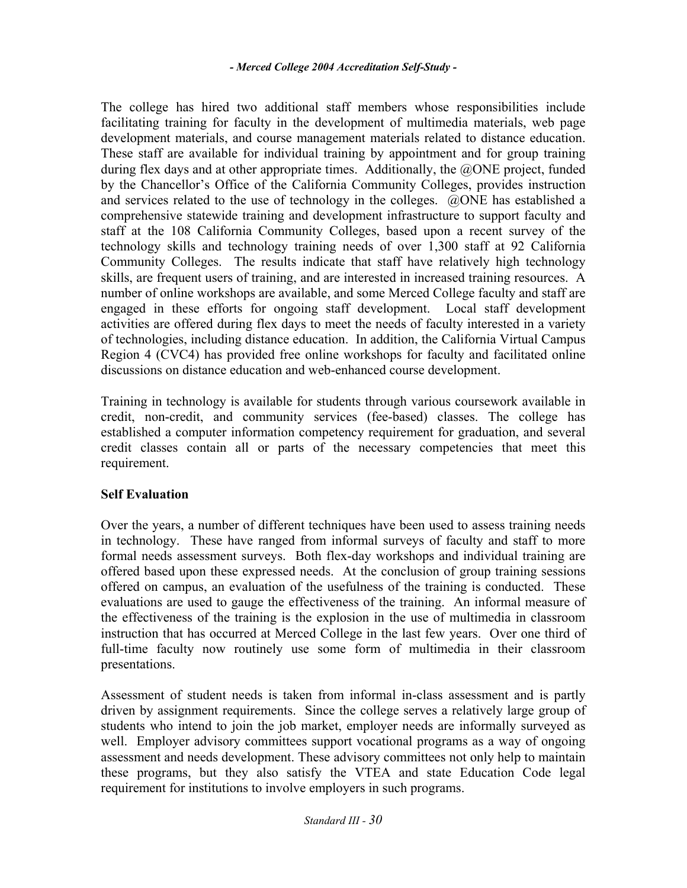The college has hired two additional staff members whose responsibilities include facilitating training for faculty in the development of multimedia materials, web page development materials, and course management materials related to distance education. These staff are available for individual training by appointment and for group training during flex days and at other appropriate times. Additionally, the @ONE project, funded by the Chancellor's Office of the California Community Colleges, provides instruction and services related to the use of technology in the colleges. @ONE has established a comprehensive statewide training and development infrastructure to support faculty and staff at the 108 California Community Colleges, based upon a recent survey of the technology skills and technology training needs of over 1,300 staff at 92 California Community Colleges. The results indicate that staff have relatively high technology skills, are frequent users of training, and are interested in increased training resources. A number of online workshops are available, and some Merced College faculty and staff are engaged in these efforts for ongoing staff development. Local staff development activities are offered during flex days to meet the needs of faculty interested in a variety of technologies, including distance education. In addition, the California Virtual Campus Region 4 (CVC4) has provided free online workshops for faculty and facilitated online discussions on distance education and web-enhanced course development.

Training in technology is available for students through various coursework available in credit, non-credit, and community services (fee-based) classes. The college has established a computer information competency requirement for graduation, and several credit classes contain all or parts of the necessary competencies that meet this requirement.

# **Self Evaluation**

Over the years, a number of different techniques have been used to assess training needs in technology. These have ranged from informal surveys of faculty and staff to more formal needs assessment surveys. Both flex-day workshops and individual training are offered based upon these expressed needs. At the conclusion of group training sessions offered on campus, an evaluation of the usefulness of the training is conducted. These evaluations are used to gauge the effectiveness of the training. An informal measure of the effectiveness of the training is the explosion in the use of multimedia in classroom instruction that has occurred at Merced College in the last few years. Over one third of full-time faculty now routinely use some form of multimedia in their classroom presentations.

Assessment of student needs is taken from informal in-class assessment and is partly driven by assignment requirements. Since the college serves a relatively large group of students who intend to join the job market, employer needs are informally surveyed as well. Employer advisory committees support vocational programs as a way of ongoing assessment and needs development. These advisory committees not only help to maintain these programs, but they also satisfy the VTEA and state Education Code legal requirement for institutions to involve employers in such programs.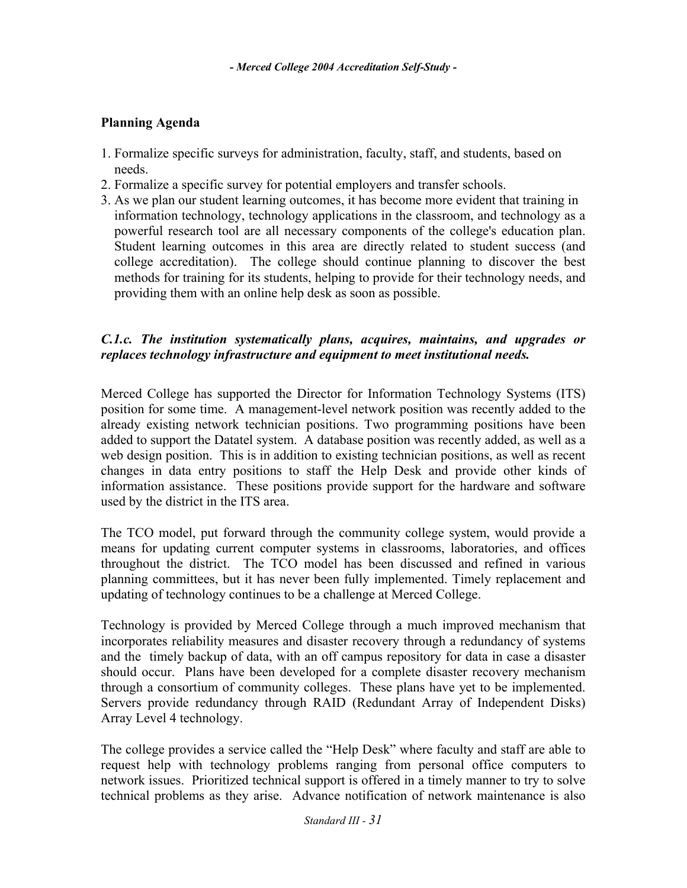# **Planning Agenda**

- 1. Formalize specific surveys for administration, faculty, staff, and students, based on needs.
- 2. Formalize a specific survey for potential employers and transfer schools.
- 3. As we plan our student learning outcomes, it has become more evident that training in information technology, technology applications in the classroom, and technology as a powerful research tool are all necessary components of the college's education plan. Student learning outcomes in this area are directly related to student success (and college accreditation). The college should continue planning to discover the best methods for training for its students, helping to provide for their technology needs, and providing them with an online help desk as soon as possible.

# *C.1.c. The institution systematically plans, acquires, maintains, and upgrades or replaces technology infrastructure and equipment to meet institutional needs.*

Merced College has supported the Director for Information Technology Systems (ITS) position for some time. A management-level network position was recently added to the already existing network technician positions. Two programming positions have been added to support the Datatel system. A database position was recently added, as well as a web design position. This is in addition to existing technician positions, as well as recent changes in data entry positions to staff the Help Desk and provide other kinds of information assistance. These positions provide support for the hardware and software used by the district in the ITS area.

The TCO model, put forward through the community college system, would provide a means for updating current computer systems in classrooms, laboratories, and offices throughout the district. The TCO model has been discussed and refined in various planning committees, but it has never been fully implemented. Timely replacement and updating of technology continues to be a challenge at Merced College.

Technology is provided by Merced College through a much improved mechanism that incorporates reliability measures and disaster recovery through a redundancy of systems and the timely backup of data, with an off campus repository for data in case a disaster should occur. Plans have been developed for a complete disaster recovery mechanism through a consortium of community colleges. These plans have yet to be implemented. Servers provide redundancy through RAID (Redundant Array of Independent Disks) Array Level 4 technology.

The college provides a service called the "Help Desk" where faculty and staff are able to request help with technology problems ranging from personal office computers to network issues. Prioritized technical support is offered in a timely manner to try to solve technical problems as they arise. Advance notification of network maintenance is also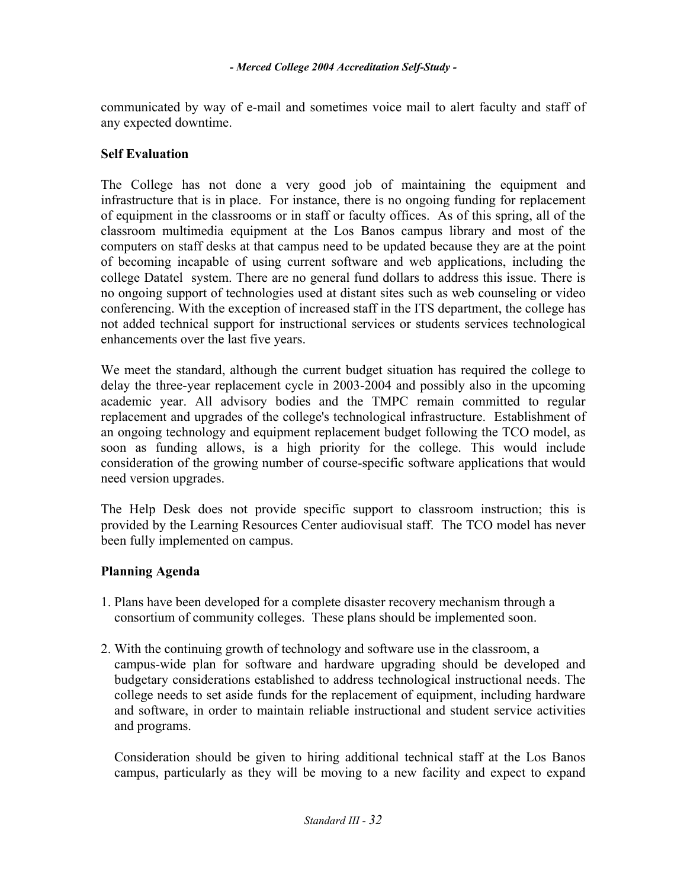communicated by way of e-mail and sometimes voice mail to alert faculty and staff of any expected downtime.

# **Self Evaluation**

The College has not done a very good job of maintaining the equipment and infrastructure that is in place. For instance, there is no ongoing funding for replacement of equipment in the classrooms or in staff or faculty offices. As of this spring, all of the classroom multimedia equipment at the Los Banos campus library and most of the computers on staff desks at that campus need to be updated because they are at the point of becoming incapable of using current software and web applications, including the college Datatel system. There are no general fund dollars to address this issue. There is no ongoing support of technologies used at distant sites such as web counseling or video conferencing. With the exception of increased staff in the ITS department, the college has not added technical support for instructional services or students services technological enhancements over the last five years.

We meet the standard, although the current budget situation has required the college to delay the three-year replacement cycle in 2003-2004 and possibly also in the upcoming academic year. All advisory bodies and the TMPC remain committed to regular replacement and upgrades of the college's technological infrastructure. Establishment of an ongoing technology and equipment replacement budget following the TCO model, as soon as funding allows, is a high priority for the college. This would include consideration of the growing number of course-specific software applications that would need version upgrades.

The Help Desk does not provide specific support to classroom instruction; this is provided by the Learning Resources Center audiovisual staff. The TCO model has never been fully implemented on campus.

# **Planning Agenda**

- 1. Plans have been developed for a complete disaster recovery mechanism through a consortium of community colleges. These plans should be implemented soon.
- 2. With the continuing growth of technology and software use in the classroom, a campus-wide plan for software and hardware upgrading should be developed and budgetary considerations established to address technological instructional needs. The college needs to set aside funds for the replacement of equipment, including hardware and software, in order to maintain reliable instructional and student service activities and programs.

Consideration should be given to hiring additional technical staff at the Los Banos campus, particularly as they will be moving to a new facility and expect to expand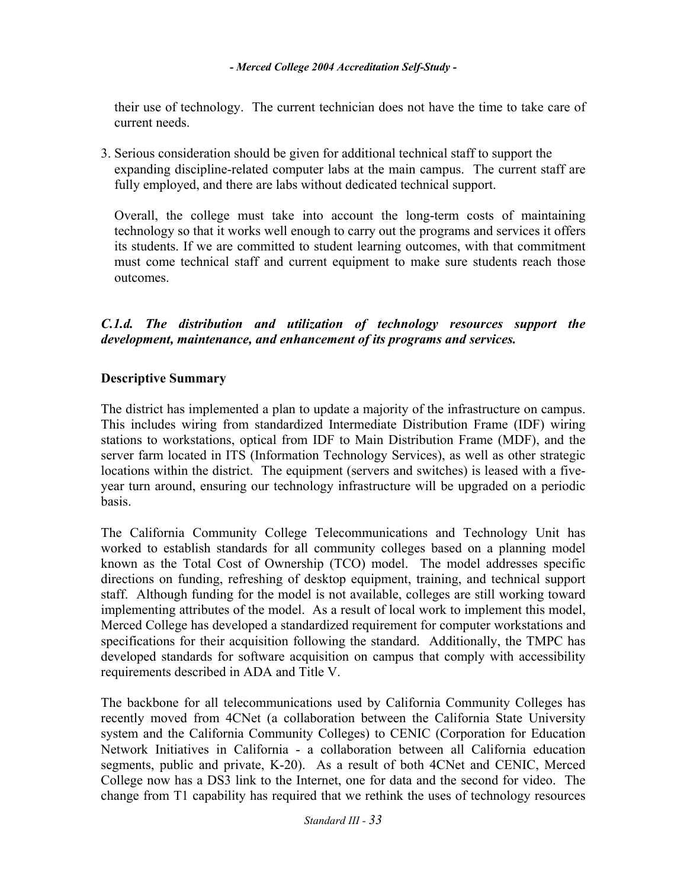their use of technology. The current technician does not have the time to take care of current needs.

3. Serious consideration should be given for additional technical staff to support the expanding discipline-related computer labs at the main campus. The current staff are fully employed, and there are labs without dedicated technical support.

Overall, the college must take into account the long-term costs of maintaining technology so that it works well enough to carry out the programs and services it offers its students. If we are committed to student learning outcomes, with that commitment must come technical staff and current equipment to make sure students reach those outcomes.

# *C.1.d. The distribution and utilization of technology resources support the development, maintenance, and enhancement of its programs and services.*

# **Descriptive Summary**

The district has implemented a plan to update a majority of the infrastructure on campus. This includes wiring from standardized Intermediate Distribution Frame (IDF) wiring stations to workstations, optical from IDF to Main Distribution Frame (MDF), and the server farm located in ITS (Information Technology Services), as well as other strategic locations within the district. The equipment (servers and switches) is leased with a fiveyear turn around, ensuring our technology infrastructure will be upgraded on a periodic basis.

The California Community College Telecommunications and Technology Unit has worked to establish standards for all community colleges based on a planning model known as the Total Cost of Ownership (TCO) model. The model addresses specific directions on funding, refreshing of desktop equipment, training, and technical support staff. Although funding for the model is not available, colleges are still working toward implementing attributes of the model. As a result of local work to implement this model, Merced College has developed a standardized requirement for computer workstations and specifications for their acquisition following the standard. Additionally, the TMPC has developed standards for software acquisition on campus that comply with accessibility requirements described in ADA and Title V.

The backbone for all telecommunications used by California Community Colleges has recently moved from 4CNet (a collaboration between the California State University system and the California Community Colleges) to CENIC (Corporation for Education Network Initiatives in California - a collaboration between all California education segments, public and private, K-20). As a result of both 4CNet and CENIC, Merced College now has a DS3 link to the Internet, one for data and the second for video. The change from T1 capability has required that we rethink the uses of technology resources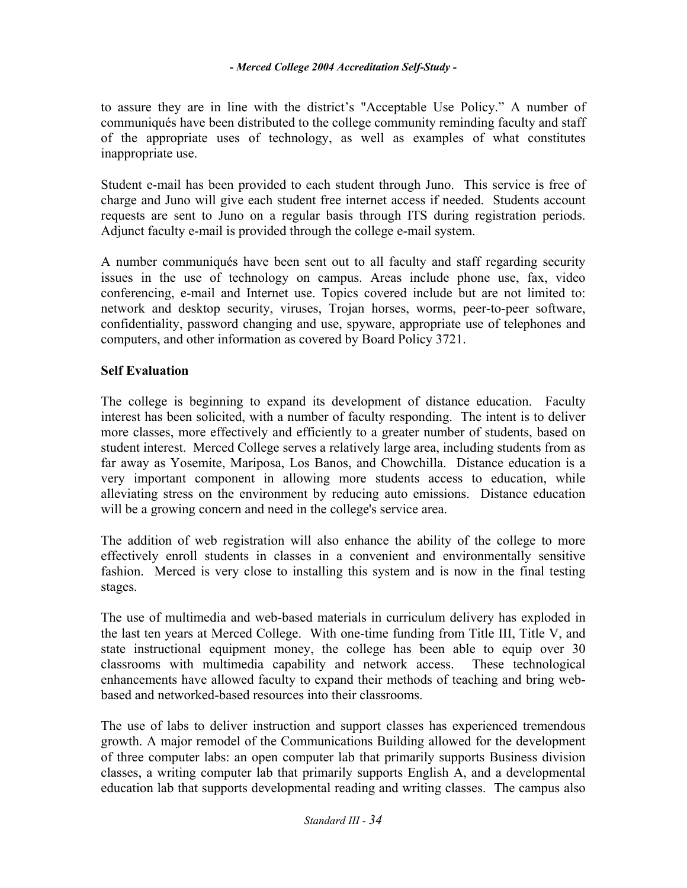to assure they are in line with the district's "Acceptable Use Policy." A number of communiqués have been distributed to the college community reminding faculty and staff of the appropriate uses of technology, as well as examples of what constitutes inappropriate use.

Student e-mail has been provided to each student through Juno. This service is free of charge and Juno will give each student free internet access if needed. Students account requests are sent to Juno on a regular basis through ITS during registration periods. Adjunct faculty e-mail is provided through the college e-mail system.

A number communiqués have been sent out to all faculty and staff regarding security issues in the use of technology on campus. Areas include phone use, fax, video conferencing, e-mail and Internet use. Topics covered include but are not limited to: network and desktop security, viruses, Trojan horses, worms, peer-to-peer software, confidentiality, password changing and use, spyware, appropriate use of telephones and computers, and other information as covered by Board Policy 3721.

# **Self Evaluation**

The college is beginning to expand its development of distance education. Faculty interest has been solicited, with a number of faculty responding. The intent is to deliver more classes, more effectively and efficiently to a greater number of students, based on student interest. Merced College serves a relatively large area, including students from as far away as Yosemite, Mariposa, Los Banos, and Chowchilla. Distance education is a very important component in allowing more students access to education, while alleviating stress on the environment by reducing auto emissions. Distance education will be a growing concern and need in the college's service area.

The addition of web registration will also enhance the ability of the college to more effectively enroll students in classes in a convenient and environmentally sensitive fashion. Merced is very close to installing this system and is now in the final testing stages.

The use of multimedia and web-based materials in curriculum delivery has exploded in the last ten years at Merced College. With one-time funding from Title III, Title V, and state instructional equipment money, the college has been able to equip over 30 classrooms with multimedia capability and network access. These technological enhancements have allowed faculty to expand their methods of teaching and bring webbased and networked-based resources into their classrooms.

The use of labs to deliver instruction and support classes has experienced tremendous growth. A major remodel of the Communications Building allowed for the development of three computer labs: an open computer lab that primarily supports Business division classes, a writing computer lab that primarily supports English A, and a developmental education lab that supports developmental reading and writing classes. The campus also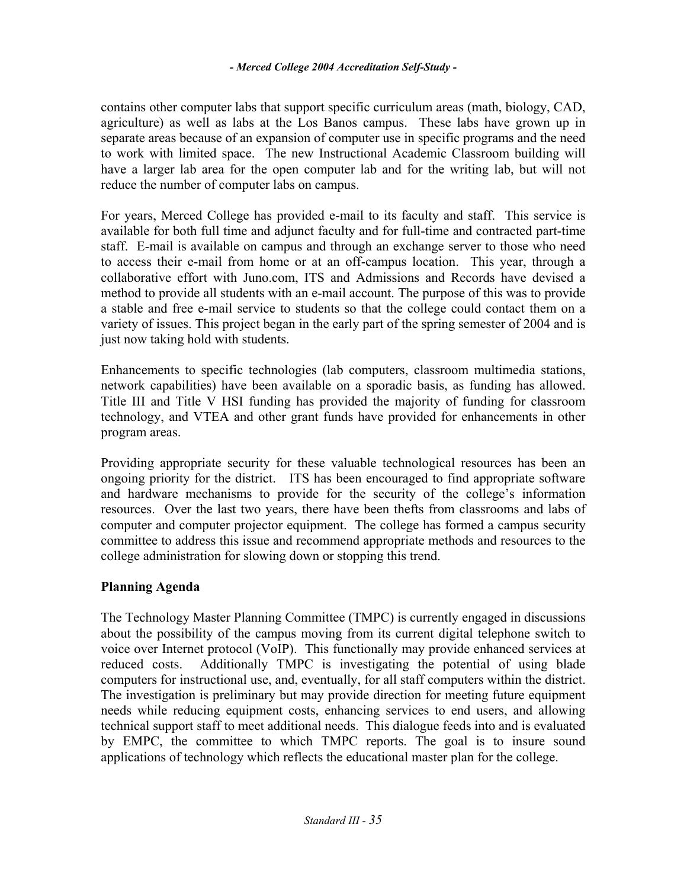contains other computer labs that support specific curriculum areas (math, biology, CAD, agriculture) as well as labs at the Los Banos campus. These labs have grown up in separate areas because of an expansion of computer use in specific programs and the need to work with limited space. The new Instructional Academic Classroom building will have a larger lab area for the open computer lab and for the writing lab, but will not reduce the number of computer labs on campus.

For years, Merced College has provided e-mail to its faculty and staff. This service is available for both full time and adjunct faculty and for full-time and contracted part-time staff. E-mail is available on campus and through an exchange server to those who need to access their e-mail from home or at an off-campus location. This year, through a collaborative effort with Juno.com, ITS and Admissions and Records have devised a method to provide all students with an e-mail account. The purpose of this was to provide a stable and free e-mail service to students so that the college could contact them on a variety of issues. This project began in the early part of the spring semester of 2004 and is just now taking hold with students.

Enhancements to specific technologies (lab computers, classroom multimedia stations, network capabilities) have been available on a sporadic basis, as funding has allowed. Title III and Title V HSI funding has provided the majority of funding for classroom technology, and VTEA and other grant funds have provided for enhancements in other program areas.

Providing appropriate security for these valuable technological resources has been an ongoing priority for the district. ITS has been encouraged to find appropriate software and hardware mechanisms to provide for the security of the college's information resources. Over the last two years, there have been thefts from classrooms and labs of computer and computer projector equipment. The college has formed a campus security committee to address this issue and recommend appropriate methods and resources to the college administration for slowing down or stopping this trend.

# **Planning Agenda**

The Technology Master Planning Committee (TMPC) is currently engaged in discussions about the possibility of the campus moving from its current digital telephone switch to voice over Internet protocol (VoIP). This functionally may provide enhanced services at reduced costs. Additionally TMPC is investigating the potential of using blade computers for instructional use, and, eventually, for all staff computers within the district. The investigation is preliminary but may provide direction for meeting future equipment needs while reducing equipment costs, enhancing services to end users, and allowing technical support staff to meet additional needs. This dialogue feeds into and is evaluated by EMPC, the committee to which TMPC reports. The goal is to insure sound applications of technology which reflects the educational master plan for the college.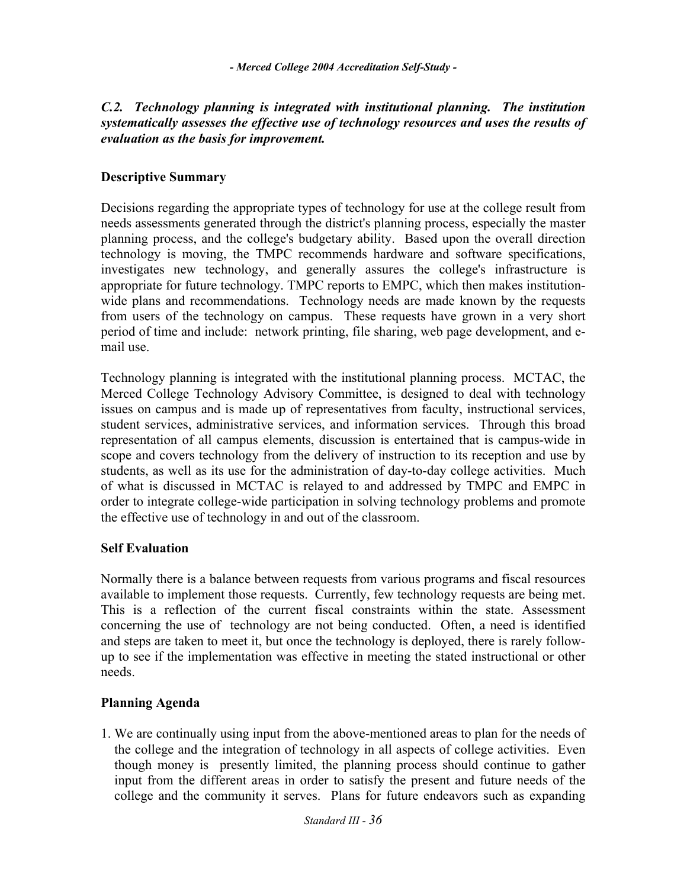# *C.2. Technology planning is integrated with institutional planning. The institution systematically assesses the effective use of technology resources and uses the results of evaluation as the basis for improvement.*

# **Descriptive Summary**

Decisions regarding the appropriate types of technology for use at the college result from needs assessments generated through the district's planning process, especially the master planning process, and the college's budgetary ability. Based upon the overall direction technology is moving, the TMPC recommends hardware and software specifications, investigates new technology, and generally assures the college's infrastructure is appropriate for future technology. TMPC reports to EMPC, which then makes institutionwide plans and recommendations. Technology needs are made known by the requests from users of the technology on campus. These requests have grown in a very short period of time and include: network printing, file sharing, web page development, and email use.

Technology planning is integrated with the institutional planning process. MCTAC, the Merced College Technology Advisory Committee, is designed to deal with technology issues on campus and is made up of representatives from faculty, instructional services, student services, administrative services, and information services. Through this broad representation of all campus elements, discussion is entertained that is campus-wide in scope and covers technology from the delivery of instruction to its reception and use by students, as well as its use for the administration of day-to-day college activities. Much of what is discussed in MCTAC is relayed to and addressed by TMPC and EMPC in order to integrate college-wide participation in solving technology problems and promote the effective use of technology in and out of the classroom.

# **Self Evaluation**

Normally there is a balance between requests from various programs and fiscal resources available to implement those requests. Currently, few technology requests are being met. This is a reflection of the current fiscal constraints within the state. Assessment concerning the use of technology are not being conducted. Often, a need is identified and steps are taken to meet it, but once the technology is deployed, there is rarely followup to see if the implementation was effective in meeting the stated instructional or other needs.

# **Planning Agenda**

1. We are continually using input from the above-mentioned areas to plan for the needs of the college and the integration of technology in all aspects of college activities. Even though money is presently limited, the planning process should continue to gather input from the different areas in order to satisfy the present and future needs of the college and the community it serves. Plans for future endeavors such as expanding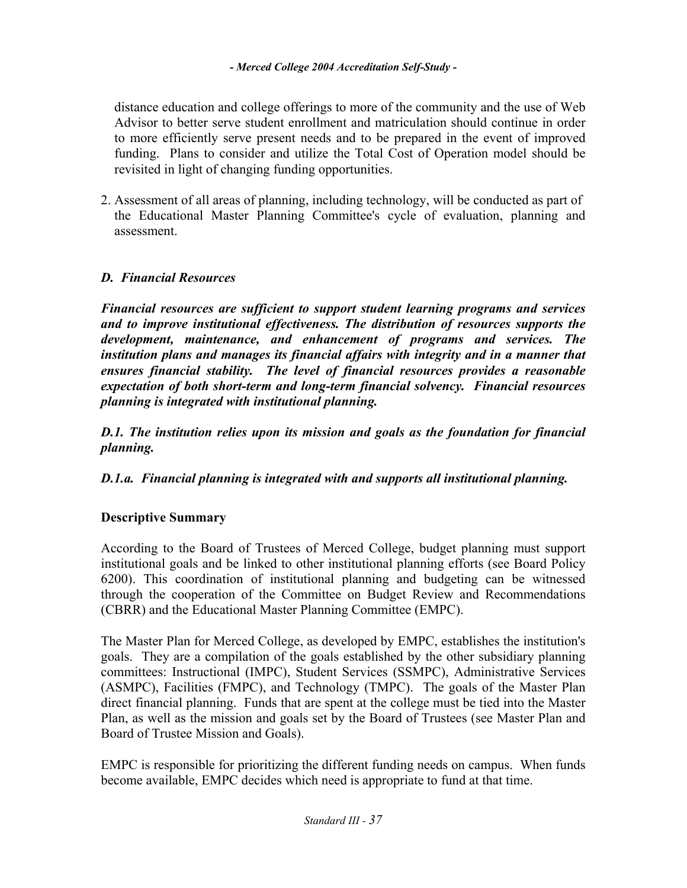distance education and college offerings to more of the community and the use of Web Advisor to better serve student enrollment and matriculation should continue in order to more efficiently serve present needs and to be prepared in the event of improved funding. Plans to consider and utilize the Total Cost of Operation model should be revisited in light of changing funding opportunities.

2. Assessment of all areas of planning, including technology, will be conducted as part of the Educational Master Planning Committee's cycle of evaluation, planning and assessment.

# *D. Financial Resources*

*Financial resources are sufficient to support student learning programs and services and to improve institutional effectiveness. The distribution of resources supports the development, maintenance, and enhancement of programs and services. The institution plans and manages its financial affairs with integrity and in a manner that ensures financial stability. The level of financial resources provides a reasonable expectation of both short-term and long-term financial solvency. Financial resources planning is integrated with institutional planning.* 

*D.1. The institution relies upon its mission and goals as the foundation for financial planning.* 

*D.1.a. Financial planning is integrated with and supports all institutional planning.* 

# **Descriptive Summary**

According to the Board of Trustees of Merced College, budget planning must support institutional goals and be linked to other institutional planning efforts (see Board Policy 6200). This coordination of institutional planning and budgeting can be witnessed through the cooperation of the Committee on Budget Review and Recommendations (CBRR) and the Educational Master Planning Committee (EMPC).

The Master Plan for Merced College, as developed by EMPC, establishes the institution's goals. They are a compilation of the goals established by the other subsidiary planning committees: Instructional (IMPC), Student Services (SSMPC), Administrative Services (ASMPC), Facilities (FMPC), and Technology (TMPC). The goals of the Master Plan direct financial planning. Funds that are spent at the college must be tied into the Master Plan, as well as the mission and goals set by the Board of Trustees (see Master Plan and Board of Trustee Mission and Goals).

EMPC is responsible for prioritizing the different funding needs on campus. When funds become available, EMPC decides which need is appropriate to fund at that time.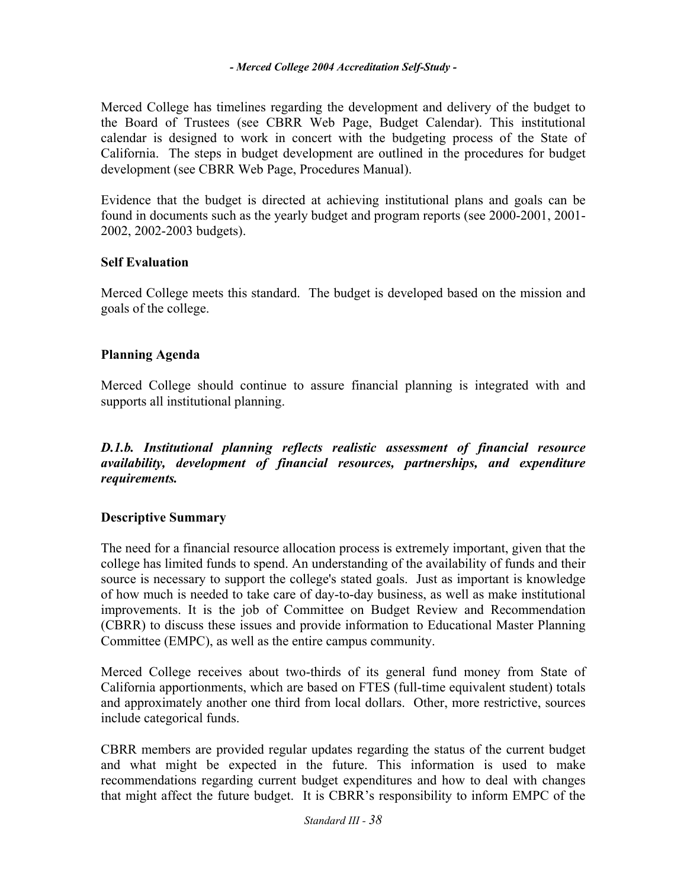Merced College has timelines regarding the development and delivery of the budget to the Board of Trustees (see CBRR Web Page, Budget Calendar). This institutional calendar is designed to work in concert with the budgeting process of the State of California. The steps in budget development are outlined in the procedures for budget development (see CBRR Web Page, Procedures Manual).

Evidence that the budget is directed at achieving institutional plans and goals can be found in documents such as the yearly budget and program reports (see 2000-2001, 2001- 2002, 2002-2003 budgets).

### **Self Evaluation**

Merced College meets this standard. The budget is developed based on the mission and goals of the college.

# **Planning Agenda**

Merced College should continue to assure financial planning is integrated with and supports all institutional planning.

*D.1.b. Institutional planning reflects realistic assessment of financial resource availability, development of financial resources, partnerships, and expenditure requirements.* 

# **Descriptive Summary**

The need for a financial resource allocation process is extremely important, given that the college has limited funds to spend. An understanding of the availability of funds and their source is necessary to support the college's stated goals. Just as important is knowledge of how much is needed to take care of day-to-day business, as well as make institutional improvements. It is the job of Committee on Budget Review and Recommendation (CBRR) to discuss these issues and provide information to Educational Master Planning Committee (EMPC), as well as the entire campus community.

Merced College receives about two-thirds of its general fund money from State of California apportionments, which are based on FTES (full-time equivalent student) totals and approximately another one third from local dollars. Other, more restrictive, sources include categorical funds.

CBRR members are provided regular updates regarding the status of the current budget and what might be expected in the future. This information is used to make recommendations regarding current budget expenditures and how to deal with changes that might affect the future budget. It is CBRR's responsibility to inform EMPC of the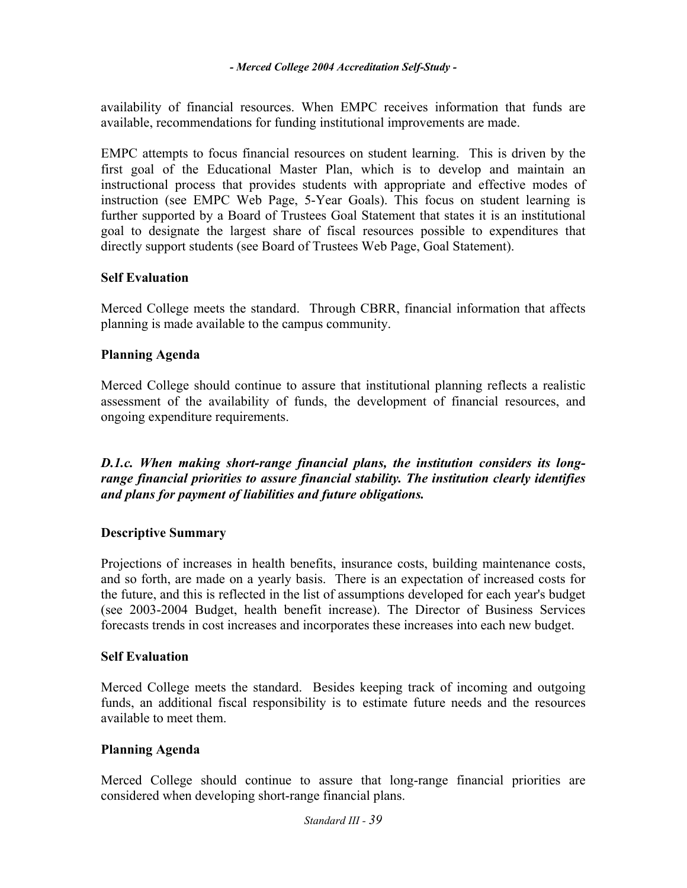availability of financial resources. When EMPC receives information that funds are available, recommendations for funding institutional improvements are made.

EMPC attempts to focus financial resources on student learning. This is driven by the first goal of the Educational Master Plan, which is to develop and maintain an instructional process that provides students with appropriate and effective modes of instruction (see EMPC Web Page, 5-Year Goals). This focus on student learning is further supported by a Board of Trustees Goal Statement that states it is an institutional goal to designate the largest share of fiscal resources possible to expenditures that directly support students (see Board of Trustees Web Page, Goal Statement).

# **Self Evaluation**

Merced College meets the standard. Through CBRR, financial information that affects planning is made available to the campus community.

# **Planning Agenda**

Merced College should continue to assure that institutional planning reflects a realistic assessment of the availability of funds, the development of financial resources, and ongoing expenditure requirements.

*D.1.c. When making short-range financial plans, the institution considers its longrange financial priorities to assure financial stability. The institution clearly identifies and plans for payment of liabilities and future obligations.* 

# **Descriptive Summary**

Projections of increases in health benefits, insurance costs, building maintenance costs, and so forth, are made on a yearly basis. There is an expectation of increased costs for the future, and this is reflected in the list of assumptions developed for each year's budget (see 2003-2004 Budget, health benefit increase). The Director of Business Services forecasts trends in cost increases and incorporates these increases into each new budget.

# **Self Evaluation**

Merced College meets the standard. Besides keeping track of incoming and outgoing funds, an additional fiscal responsibility is to estimate future needs and the resources available to meet them.

# **Planning Agenda**

Merced College should continue to assure that long-range financial priorities are considered when developing short-range financial plans.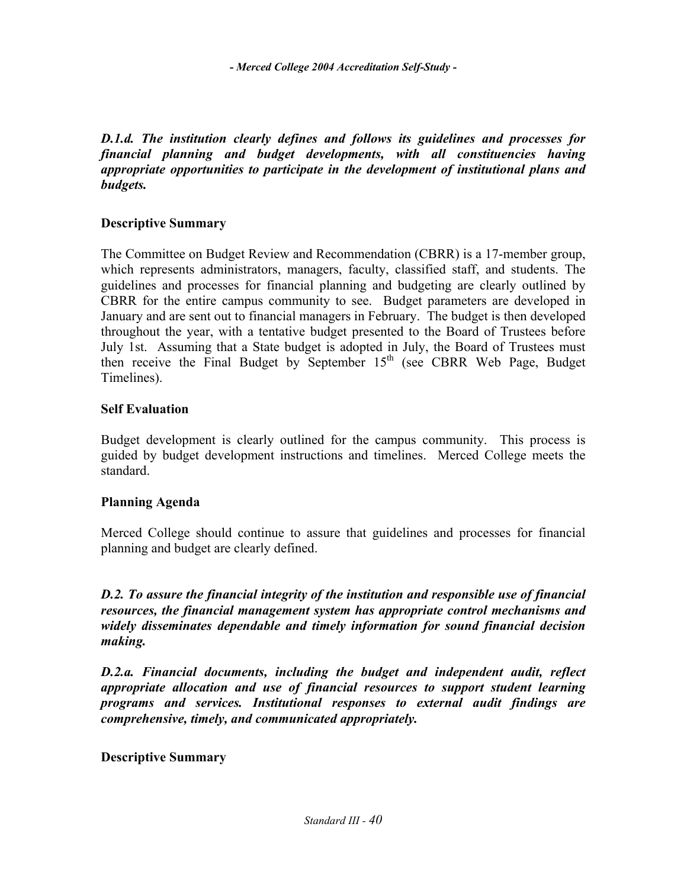*D.1.d. The institution clearly defines and follows its guidelines and processes for financial planning and budget developments, with all constituencies having appropriate opportunities to participate in the development of institutional plans and budgets.* 

# **Descriptive Summary**

The Committee on Budget Review and Recommendation (CBRR) is a 17-member group, which represents administrators, managers, faculty, classified staff, and students. The guidelines and processes for financial planning and budgeting are clearly outlined by CBRR for the entire campus community to see. Budget parameters are developed in January and are sent out to financial managers in February. The budget is then developed throughout the year, with a tentative budget presented to the Board of Trustees before July 1st. Assuming that a State budget is adopted in July, the Board of Trustees must then receive the Final Budget by September  $15<sup>th</sup>$  (see CBRR Web Page, Budget Timelines).

# **Self Evaluation**

Budget development is clearly outlined for the campus community. This process is guided by budget development instructions and timelines. Merced College meets the standard.

# **Planning Agenda**

Merced College should continue to assure that guidelines and processes for financial planning and budget are clearly defined.

*D.2. To assure the financial integrity of the institution and responsible use of financial resources, the financial management system has appropriate control mechanisms and widely disseminates dependable and timely information for sound financial decision making.* 

*D.2.a. Financial documents, including the budget and independent audit, reflect appropriate allocation and use of financial resources to support student learning programs and services. Institutional responses to external audit findings are comprehensive, timely, and communicated appropriately.* 

# **Descriptive Summary**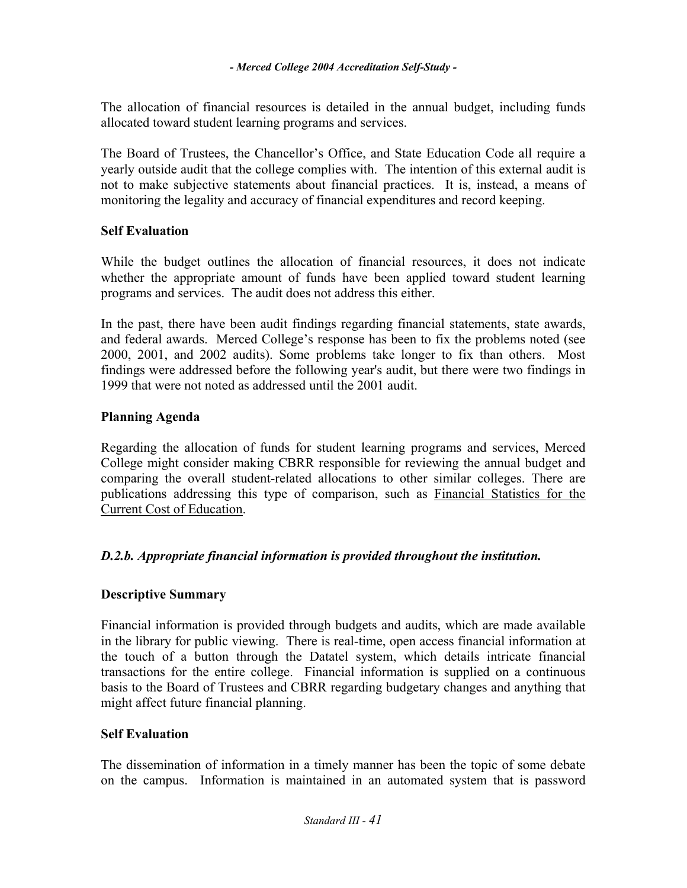The allocation of financial resources is detailed in the annual budget, including funds allocated toward student learning programs and services.

The Board of Trustees, the Chancellor's Office, and State Education Code all require a yearly outside audit that the college complies with. The intention of this external audit is not to make subjective statements about financial practices. It is, instead, a means of monitoring the legality and accuracy of financial expenditures and record keeping.

# **Self Evaluation**

While the budget outlines the allocation of financial resources, it does not indicate whether the appropriate amount of funds have been applied toward student learning programs and services. The audit does not address this either.

In the past, there have been audit findings regarding financial statements, state awards, and federal awards. Merced College's response has been to fix the problems noted (see 2000, 2001, and 2002 audits). Some problems take longer to fix than others. Most findings were addressed before the following year's audit, but there were two findings in 1999 that were not noted as addressed until the 2001 audit.

# **Planning Agenda**

Regarding the allocation of funds for student learning programs and services, Merced College might consider making CBRR responsible for reviewing the annual budget and comparing the overall student-related allocations to other similar colleges. There are publications addressing this type of comparison, such as Financial Statistics for the Current Cost of Education.

# *D.2.b. Appropriate financial information is provided throughout the institution.*

# **Descriptive Summary**

Financial information is provided through budgets and audits, which are made available in the library for public viewing. There is real-time, open access financial information at the touch of a button through the Datatel system, which details intricate financial transactions for the entire college. Financial information is supplied on a continuous basis to the Board of Trustees and CBRR regarding budgetary changes and anything that might affect future financial planning.

# **Self Evaluation**

The dissemination of information in a timely manner has been the topic of some debate on the campus. Information is maintained in an automated system that is password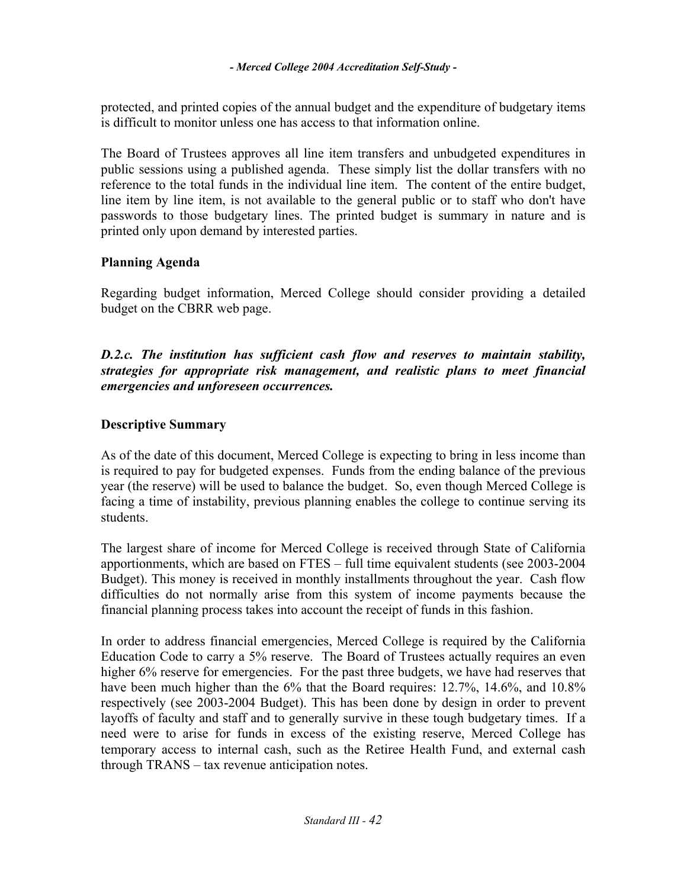protected, and printed copies of the annual budget and the expenditure of budgetary items is difficult to monitor unless one has access to that information online.

The Board of Trustees approves all line item transfers and unbudgeted expenditures in public sessions using a published agenda. These simply list the dollar transfers with no reference to the total funds in the individual line item. The content of the entire budget, line item by line item, is not available to the general public or to staff who don't have passwords to those budgetary lines. The printed budget is summary in nature and is printed only upon demand by interested parties.

# **Planning Agenda**

Regarding budget information, Merced College should consider providing a detailed budget on the CBRR web page.

*D.2.c. The institution has sufficient cash flow and reserves to maintain stability, strategies for appropriate risk management, and realistic plans to meet financial emergencies and unforeseen occurrences.* 

# **Descriptive Summary**

As of the date of this document, Merced College is expecting to bring in less income than is required to pay for budgeted expenses. Funds from the ending balance of the previous year (the reserve) will be used to balance the budget. So, even though Merced College is facing a time of instability, previous planning enables the college to continue serving its students.

The largest share of income for Merced College is received through State of California apportionments, which are based on FTES – full time equivalent students (see 2003-2004 Budget). This money is received in monthly installments throughout the year. Cash flow difficulties do not normally arise from this system of income payments because the financial planning process takes into account the receipt of funds in this fashion.

In order to address financial emergencies, Merced College is required by the California Education Code to carry a 5% reserve. The Board of Trustees actually requires an even higher 6% reserve for emergencies. For the past three budgets, we have had reserves that have been much higher than the 6% that the Board requires: 12.7%, 14.6%, and 10.8% respectively (see 2003-2004 Budget). This has been done by design in order to prevent layoffs of faculty and staff and to generally survive in these tough budgetary times. If a need were to arise for funds in excess of the existing reserve, Merced College has temporary access to internal cash, such as the Retiree Health Fund, and external cash through TRANS – tax revenue anticipation notes.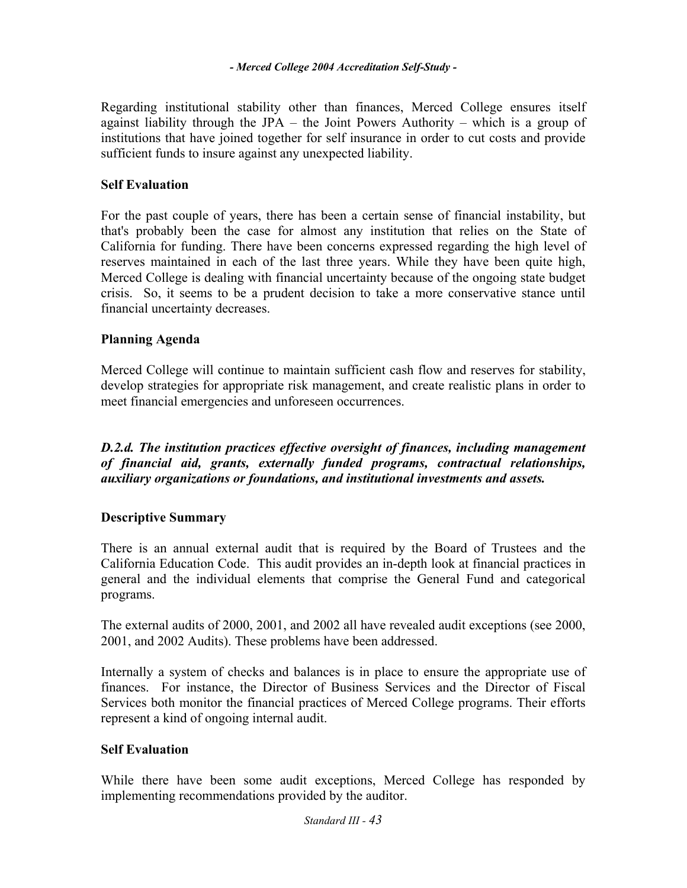Regarding institutional stability other than finances, Merced College ensures itself against liability through the JPA – the Joint Powers Authority – which is a group of institutions that have joined together for self insurance in order to cut costs and provide sufficient funds to insure against any unexpected liability.

# **Self Evaluation**

For the past couple of years, there has been a certain sense of financial instability, but that's probably been the case for almost any institution that relies on the State of California for funding. There have been concerns expressed regarding the high level of reserves maintained in each of the last three years. While they have been quite high, Merced College is dealing with financial uncertainty because of the ongoing state budget crisis. So, it seems to be a prudent decision to take a more conservative stance until financial uncertainty decreases.

# **Planning Agenda**

Merced College will continue to maintain sufficient cash flow and reserves for stability, develop strategies for appropriate risk management, and create realistic plans in order to meet financial emergencies and unforeseen occurrences.

**D.2.d. The institution practices effective oversight of finances, including management** *of financial aid, grants, externally funded programs, contractual relationships, auxiliary organizations or foundations, and institutional investments and assets.* 

# **Descriptive Summary**

There is an annual external audit that is required by the Board of Trustees and the California Education Code. This audit provides an in-depth look at financial practices in general and the individual elements that comprise the General Fund and categorical programs.

The external audits of 2000, 2001, and 2002 all have revealed audit exceptions (see 2000, 2001, and 2002 Audits). These problems have been addressed.

Internally a system of checks and balances is in place to ensure the appropriate use of finances. For instance, the Director of Business Services and the Director of Fiscal Services both monitor the financial practices of Merced College programs. Their efforts represent a kind of ongoing internal audit.

# **Self Evaluation**

While there have been some audit exceptions, Merced College has responded by implementing recommendations provided by the auditor.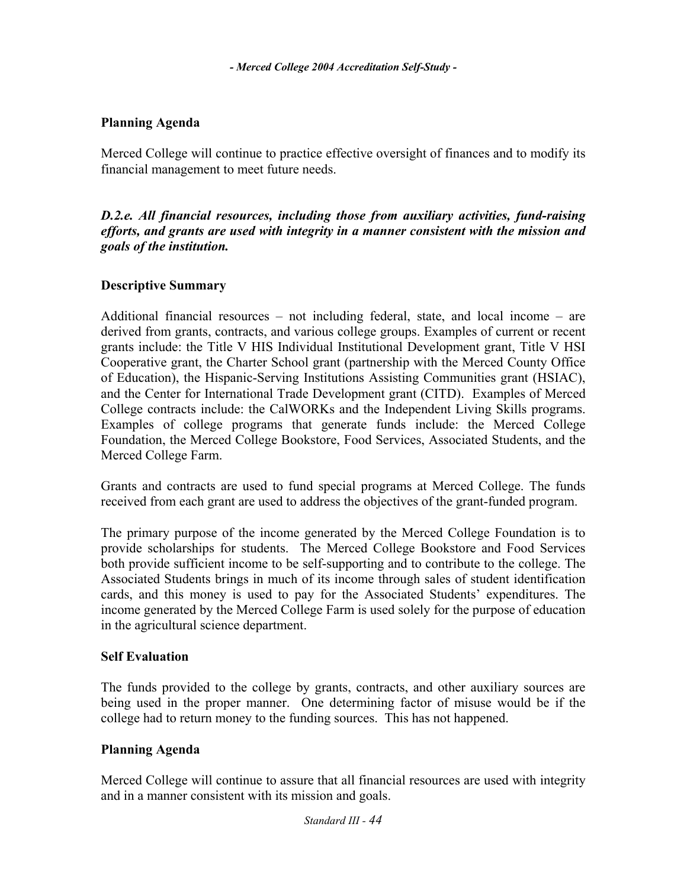# **Planning Agenda**

Merced College will continue to practice effective oversight of finances and to modify its financial management to meet future needs.

*D.2.e. All financial resources, including those from auxiliary activities, fund-raising efforts, and grants are used with integrity in a manner consistent with the mission and goals of the institution.* 

# **Descriptive Summary**

Additional financial resources – not including federal, state, and local income – are derived from grants, contracts, and various college groups. Examples of current or recent grants include: the Title V HIS Individual Institutional Development grant, Title V HSI Cooperative grant, the Charter School grant (partnership with the Merced County Office of Education), the Hispanic-Serving Institutions Assisting Communities grant (HSIAC), and the Center for International Trade Development grant (CITD). Examples of Merced College contracts include: the CalWORKs and the Independent Living Skills programs. Examples of college programs that generate funds include: the Merced College Foundation, the Merced College Bookstore, Food Services, Associated Students, and the Merced College Farm.

Grants and contracts are used to fund special programs at Merced College. The funds received from each grant are used to address the objectives of the grant-funded program.

The primary purpose of the income generated by the Merced College Foundation is to provide scholarships for students. The Merced College Bookstore and Food Services both provide sufficient income to be self-supporting and to contribute to the college. The Associated Students brings in much of its income through sales of student identification cards, and this money is used to pay for the Associated Students' expenditures. The income generated by the Merced College Farm is used solely for the purpose of education in the agricultural science department.

# **Self Evaluation**

The funds provided to the college by grants, contracts, and other auxiliary sources are being used in the proper manner. One determining factor of misuse would be if the college had to return money to the funding sources. This has not happened.

# **Planning Agenda**

Merced College will continue to assure that all financial resources are used with integrity and in a manner consistent with its mission and goals.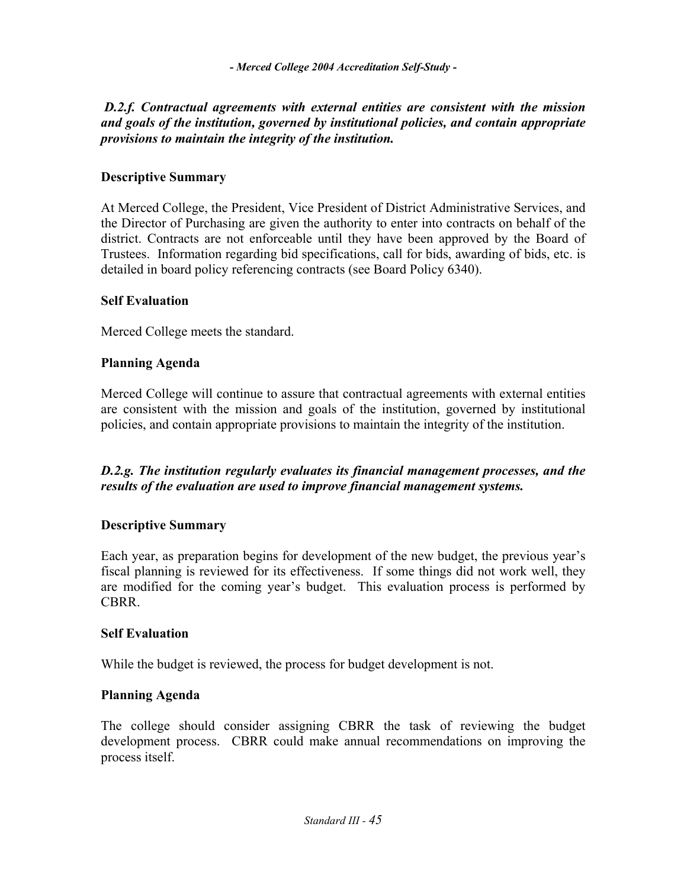# *D.2.f. Contractual agreements with external entities are consistent with the mission and goals of the institution, governed by institutional policies, and contain appropriate provisions to maintain the integrity of the institution.*

### **Descriptive Summary**

At Merced College, the President, Vice President of District Administrative Services, and the Director of Purchasing are given the authority to enter into contracts on behalf of the district. Contracts are not enforceable until they have been approved by the Board of Trustees. Information regarding bid specifications, call for bids, awarding of bids, etc. is detailed in board policy referencing contracts (see Board Policy 6340).

#### **Self Evaluation**

Merced College meets the standard.

#### **Planning Agenda**

Merced College will continue to assure that contractual agreements with external entities are consistent with the mission and goals of the institution, governed by institutional policies, and contain appropriate provisions to maintain the integrity of the institution.

# *D.2.g. The institution regularly evaluates its financial management processes, and the results of the evaluation are used to improve financial management systems.*

#### **Descriptive Summary**

Each year, as preparation begins for development of the new budget, the previous year's fiscal planning is reviewed for its effectiveness. If some things did not work well, they are modified for the coming year's budget. This evaluation process is performed by CBRR.

#### **Self Evaluation**

While the budget is reviewed, the process for budget development is not.

#### **Planning Agenda**

The college should consider assigning CBRR the task of reviewing the budget development process. CBRR could make annual recommendations on improving the process itself.